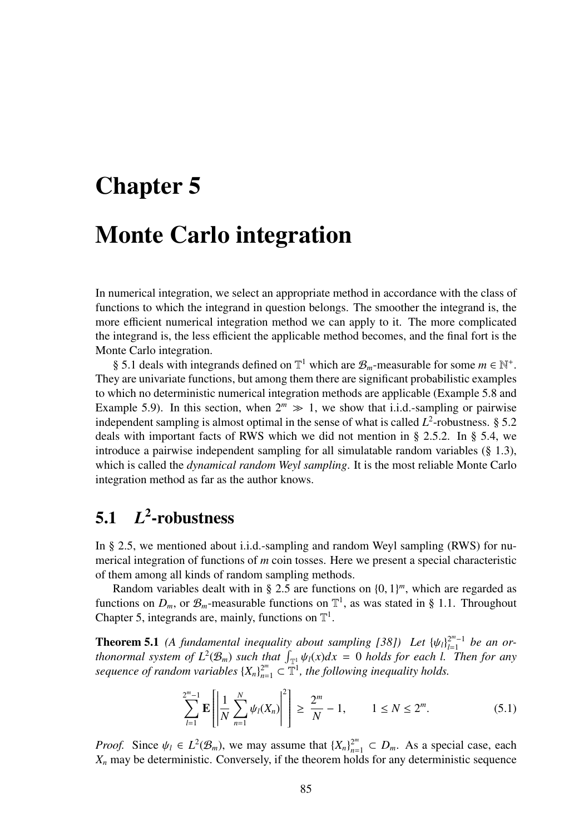# Chapter 5

# Monte Carlo integration

In numerical integration, we select an appropriate method in accordance with the class of functions to which the integrand in question belongs. The smoother the integrand is, the more efficient numerical integration method we can apply to it. The more complicated the integrand is, the less efficient the applicable method becomes, and the final fort is the Monte Carlo integration.

§ 5.1 deals with integrands defined on  $\mathbb{T}^1$  which are  $\mathcal{B}_m$ -measurable for some  $m \in \mathbb{N}^+$ . They are univariate functions, but among them there are significant probabilistic examples to which no deterministic numerical integration methods are applicable (Example 5.8 and Example 5.9). In this section, when  $2^m \gg 1$ , we show that i.i.d.-sampling or pairwise independent sampling is almost optimal in the sense of what is called  $L^2$ -robustness. § 5.2 deals with important facts of RWS which we did not mention in § 2.5.2. In § 5.4, we introduce a pairwise independent sampling for all simulatable random variables (§ 1.3), which is called the *dynamical random Weyl sampling*. It is the most reliable Monte Carlo integration method as far as the author knows.

#### 5.1 *L* 2 -robustness

In § 2.5, we mentioned about i.i.d.-sampling and random Weyl sampling (RWS) for numerical integration of functions of *m* coin tosses. Here we present a special characteristic of them among all kinds of random sampling methods.

Random variables dealt with in § 2.5 are functions on  $\{0, 1\}^m$ , which are regarded as functions on  $D_m$ , or  $\mathcal{B}_m$ -measurable functions on  $\mathbb{T}^1$ , as was stated in § 1.1. Throughout Chapter 5, integrands are, mainly, functions on  $\mathbb{T}^1$ .

**Theorem 5.1** (A fundamental inequality about sampling [38]) Let  $\{\psi_l\}_{l=1}^{2^m-1}$  be an or*flootend 3.1* (*A fundamental inequality dool is simpling [30])* Let  $|\psi_{1}|_{t=1}$  be an or-<br>*thonormal system of L*<sup>2</sup>( $\mathcal{B}_m$ ) such that  $\int_{\mathbb{T}^1} \psi_l(x) dx = 0$  holds for each *l. Then for any sequence of random variables*  $\{X_n\}_{n=1}^{2^m} \subset \mathbb{T}^1$ , the following inequality holds.

$$
\sum_{l=1}^{2^m-1} \mathbf{E} \left[ \left| \frac{1}{N} \sum_{n=1}^N \psi_l(X_n) \right|^2 \right] \ge \frac{2^m}{N} - 1, \qquad 1 \le N \le 2^m. \tag{5.1}
$$

*Proof.* Since  $\psi_l \in L^2(\mathcal{B}_m)$ , we may assume that  $\{X_n\}_{n=1}^{2^m} \subset D_m$ . As a special case, each  $X_n$  may be deterministic. Conversely, if the theorem holds for any deterministic sequence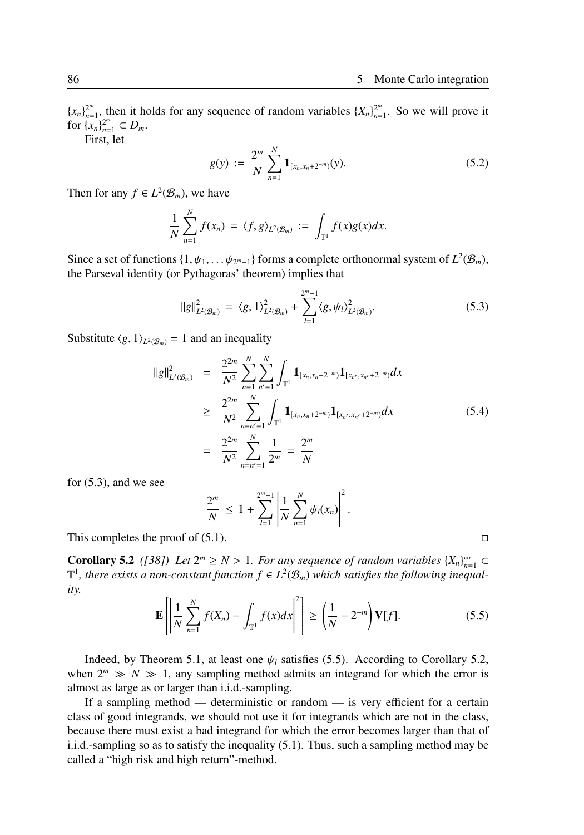${x_n}_{n=0}^{2^m}$  $2^m$ , then it holds for any sequence of random variables  $\{X_n\}_{n=1}^{2^m}$  $2^m$ <sub>n=1</sub>. So we will prove it for  $\{x_n\}_{n=1}^{2^m} \subset D_m$ .

First, let

$$
g(y) := \frac{2^m}{N} \sum_{n=1}^N \mathbf{1}_{[x_n, x_n + 2^{-m}]}(y).
$$
 (5.2)

Then for any  $f \in L^2(\mathcal{B}_m)$ , we have

$$
\frac{1}{N}\sum_{n=1}^N f(x_n) = \langle f, g \rangle_{L^2(\mathcal{B}_m)} := \int_{\mathbb{T}^1} f(x)g(x)dx.
$$

Since a set of functions  $\{1, \psi_1, \dots, \psi_{2^m-1}\}$  forms a complete orthonormal system of  $L^2(\mathcal{B}_m)$ , the Parseval identity (or Pythagoras' theorem) implies that

$$
||g||_{L^{2}(\mathcal{B}_{m})}^{2} = \langle g, 1 \rangle_{L^{2}(\mathcal{B}_{m})}^{2} + \sum_{l=1}^{2^{m}-1} \langle g, \psi_{l} \rangle_{L^{2}(\mathcal{B}_{m})}^{2}.
$$
 (5.3)

Substitute  $\langle g, 1 \rangle_{L^2(\mathcal{B}_m)} = 1$  and an inequality

$$
||g||_{L^{2}(\mathcal{B}_{m})}^{2} = \frac{2^{2m}}{N^{2}} \sum_{n=1}^{N} \sum_{n'=1}^{N} \int_{\mathbb{T}^{1}} \mathbf{1}_{[x_{n}, x_{n}+2^{-m}]} \mathbf{1}_{[x_{n'}, x_{n'}+2^{-m}]} dx
$$
  
\n
$$
\geq \frac{2^{2m}}{N^{2}} \sum_{n=n'=1}^{N} \int_{\mathbb{T}^{1}} \mathbf{1}_{[x_{n}, x_{n}+2^{-m}]} \mathbf{1}_{[x_{n'}, x_{n'}+2^{-m}]} dx
$$
  
\n
$$
= \frac{2^{2m}}{N^{2}} \sum_{n=n'=1}^{N} \frac{1}{2^{m}} = \frac{2^{m}}{N}
$$
 (5.4)

for (5.3), and we see

$$
\frac{2^m}{N} \leq 1 + \sum_{l=1}^{2^m-1} \left| \frac{1}{N} \sum_{n=1}^N \psi_l(x_n) \right|^2.
$$

This completes the proof of  $(5.1)$ .  $\Box$ 

**Corollary 5.2** ([38]) Let  $2^m \ge N > 1$ . For any sequence of random variables  $\{X_n\}_{n=1}^{\infty} \subset$  $\mathbb{T}^1$ , there exists a non-constant function  $f \in L^2(\mathcal{B}_m)$  which satisfies the following inequal*ity.*

$$
\mathbf{E}\left[\left|\frac{1}{N}\sum_{n=1}^{N}f(X_n) - \int_{\mathbb{T}^1}f(x)dx\right|^2\right] \ge \left(\frac{1}{N} - 2^{-m}\right)\mathbf{V}[f].\tag{5.5}
$$

Indeed, by Theorem 5.1, at least one  $\psi_l$  satisfies (5.5). According to Corollary 5.2, when  $2^m \gg N \gg 1$ , any sampling method admits an integrand for which the error is almost as large as or larger than i.i.d.-sampling.

If a sampling method — deterministic or random — is very efficient for a certain class of good integrands, we should not use it for integrands which are not in the class, because there must exist a bad integrand for which the error becomes larger than that of i.i.d.-sampling so as to satisfy the inequality (5.1). Thus, such a sampling method may be called a "high risk and high return"-method.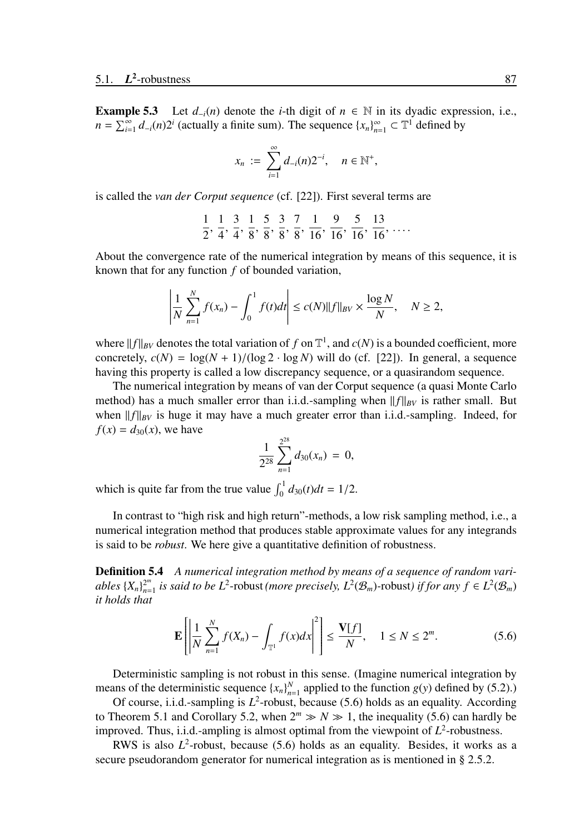**Example 5.3** Let  $d_{-i}(n)$  denote the *i*-th digit of  $n \in \mathbb{N}$  in its dyadic expression, i.e.,  $n = \sum_{i=1}^{\infty} d_{-i}(n) 2^i$  (actually a finite sum). The sequence  $\{x_n\}_{n=1}^{\infty} \subset \mathbb{T}^1$  defined by

$$
x_n := \sum_{i=1}^{\infty} d_{-i}(n) 2^{-i}, \quad n \in \mathbb{N}^+,
$$

is called the *van der Corput sequence* (cf. [22]). First several terms are

$$
\frac{1}{2}, \frac{1}{4}, \frac{3}{4}, \frac{1}{8}, \frac{5}{8}, \frac{3}{8}, \frac{7}{8}, \frac{1}{16}, \frac{9}{16}, \frac{5}{16}, \frac{13}{16}, \dots
$$

About the convergence rate of the numerical integration by means of this sequence, it is known that for any function *f* of bounded variation,

$$
\left| \frac{1}{N} \sum_{n=1}^{N} f(x_n) - \int_0^1 f(t) dt \right| \le c(N) \|f\|_{BV} \times \frac{\log N}{N}, \quad N \ge 2,
$$

where  $||f||_{BV}$  denotes the total variation of f on  $\mathbb{T}^1$ , and  $c(N)$  is a bounded coefficient, more concretely,  $c(N) = \log(N + 1)/(\log 2 \cdot \log N)$  will do (cf. [22]). In general, a sequence having this property is called a low discrepancy sequence, or a quasirandom sequence.

The numerical integration by means of van der Corput sequence (a quasi Monte Carlo method) has a much smaller error than i.i.d.-sampling when  $||f||_{BV}$  is rather small. But when  $||f||_{BV}$  is huge it may have a much greater error than i.i.d.-sampling. Indeed, for  $f(x) = d_{30}(x)$ , we have

$$
\frac{1}{2^{28}}\sum_{n=1}^{2^{28}}d_{30}(x_n) = 0,
$$

which is quite far from the true value  $\int_0^1 d_{30}(t) dt = 1/2$ .

In contrast to "high risk and high return"-methods, a low risk sampling method, i.e., a numerical integration method that produces stable approximate values for any integrands is said to be *robust*. We here give a quantitative definition of robustness.

Definition 5.4 *A numerical integration method by means of a sequence of random variables*  $\{X_n\}_{n=1}^{2^m}$  $2^m$ <sub>*n*=1</sub> is said to be L<sup>2</sup>−robust (more precisely, L<sup>2</sup>( $\mathcal{B}_m$ )-robust) if for any  $f \in L^2(\mathcal{B}_m)$ *it holds that*

$$
\mathbf{E}\left[\left|\frac{1}{N}\sum_{n=1}^{N}f(X_n)-\int_{\mathbb{T}^1}f(x)dx\right|^2\right] \le \frac{\mathbf{V}[f]}{N}, \quad 1 \le N \le 2^m. \tag{5.6}
$$

Deterministic sampling is not robust in this sense. (Imagine numerical integration by means of the deterministic sequence  $\{x_n\}_{n=1}^N$  applied to the function  $g(y)$  defined by (5.2).)

Of course, i.i.d.-sampling is  $L^2$ -robust, because (5.6) holds as an equality. According to Theorem 5.1 and Corollary 5.2, when  $2^m \gg N \gg 1$ , the inequality (5.6) can hardly be improved. Thus, i.i.d.-ampling is almost optimal from the viewpoint of  $L^2$ -robustness.

RWS is also  $L^2$ -robust, because (5.6) holds as an equality. Besides, it works as a secure pseudorandom generator for numerical integration as is mentioned in § 2.5.2.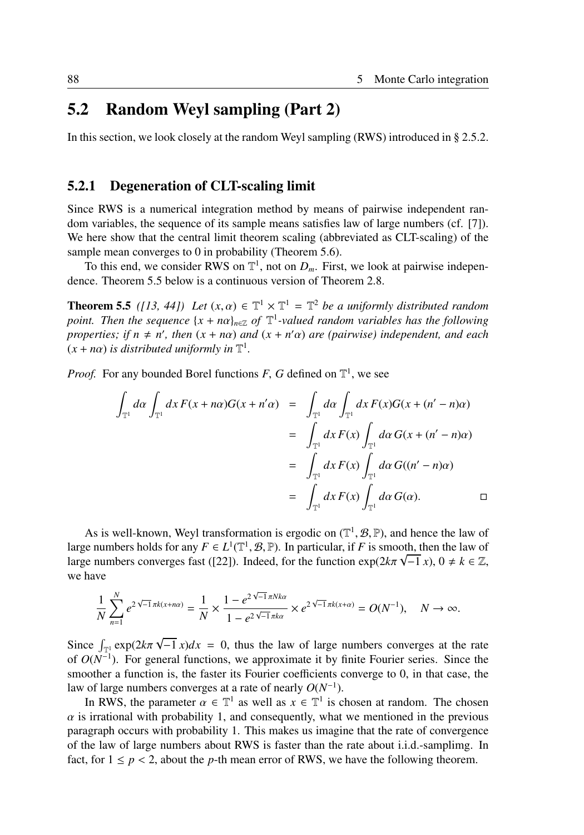# 5.2 Random Weyl sampling (Part 2)

In this section, we look closely at the random Weyl sampling (RWS) introduced in § 2.5.2.

#### 5.2.1 Degeneration of CLT-scaling limit

Since RWS is a numerical integration method by means of pairwise independent random variables, the sequence of its sample means satisfies law of large numbers (cf. [7]). We here show that the central limit theorem scaling (abbreviated as CLT-scaling) of the sample mean converges to 0 in probability (Theorem 5.6).

To this end, we consider RWS on  $\mathbb{T}^1$ , not on  $D_m$ . First, we look at pairwise independence. Theorem 5.5 below is a continuous version of Theorem 2.8.

**Theorem 5.5** ([13, 44]) Let  $(x, \alpha) \in \mathbb{T}^1 \times \mathbb{T}^1 = \mathbb{T}^2$  be a uniformly distributed random *point. Then the sequence*  $\{x + n\alpha\}_{n \in \mathbb{Z}}$  *of*  $\mathbb{T}^1$ -valued random variables has the following *properties; if*  $n \neq n'$ , then  $(x + n\alpha)$  *and*  $(x + n'\alpha)$  *are (pairwise) independent, and each*  $(x + n\alpha)$  *is distributed uniformly in*  $\mathbb{T}^1$ *.* 

*Proof.* For any bounded Borel functions  $F$ ,  $G$  defined on  $\mathbb{T}^1$ , we see

$$
\int_{\mathbb{T}^1} d\alpha \int_{\mathbb{T}^1} dx F(x + n\alpha) G(x + n'\alpha) = \int_{\mathbb{T}^1} d\alpha \int_{\mathbb{T}^1} dx F(x) G(x + (n' - n)\alpha)
$$
  
\n
$$
= \int_{\mathbb{T}^1} dx F(x) \int_{\mathbb{T}^1} d\alpha G(x + (n' - n)\alpha)
$$
  
\n
$$
= \int_{\mathbb{T}^1} dx F(x) \int_{\mathbb{T}^1} d\alpha G((n' - n)\alpha)
$$
  
\n
$$
= \int_{\mathbb{T}^1} dx F(x) \int_{\mathbb{T}^1} d\alpha G(\alpha).
$$

As is well-known, Weyl transformation is ergodic on  $(\mathbb{T}^1, \mathcal{B}, \mathbb{P})$ , and hence the law of large numbers holds for any  $F \in L^1(\mathbb{T}^1, \mathcal{B}, \mathbb{P})$ . In particular, if *F* is smooth, then the law of large numbers converges fast ([22]). Indeed, for the function  $\exp(2k\pi \sqrt{-1} x)$ ,  $0 \neq k \in \mathbb{Z}$ , we have

$$
\frac{1}{N}\sum_{n=1}^{N}e^{2\sqrt{-1}\pi k(x+n\alpha)} = \frac{1}{N}\times\frac{1-e^{2\sqrt{-1}\pi Nk\alpha}}{1-e^{2\sqrt{-1}\pi k\alpha}}\times e^{2\sqrt{-1}\pi k(x+\alpha)} = O(N^{-1}), \quad N \to \infty.
$$

Since  $\int_{\mathbb{T}^1} \exp(2k\pi)$ √  $\overline{-1}$  *x*) $dx = 0$ , thus the law of large numbers converges at the rate of  $O(N^{-1})$ . For general functions, we approximate it by finite Fourier series. Since the smoother a function is, the faster its Fourier coefficients converge to 0, in that case, the law of large numbers converges at a rate of nearly  $O(N^{-1})$ .

In RWS, the parameter  $\alpha \in \mathbb{T}^1$  as well as  $x \in \mathbb{T}^1$  is chosen at random. The chosen  $\alpha$  is irrational with probability 1, and consequently, what we mentioned in the previous paragraph occurs with probability 1. This makes us imagine that the rate of convergence of the law of large numbers about RWS is faster than the rate about i.i.d.-samplimg. In fact, for  $1 \le p < 2$ , about the *p*-th mean error of RWS, we have the following theorem.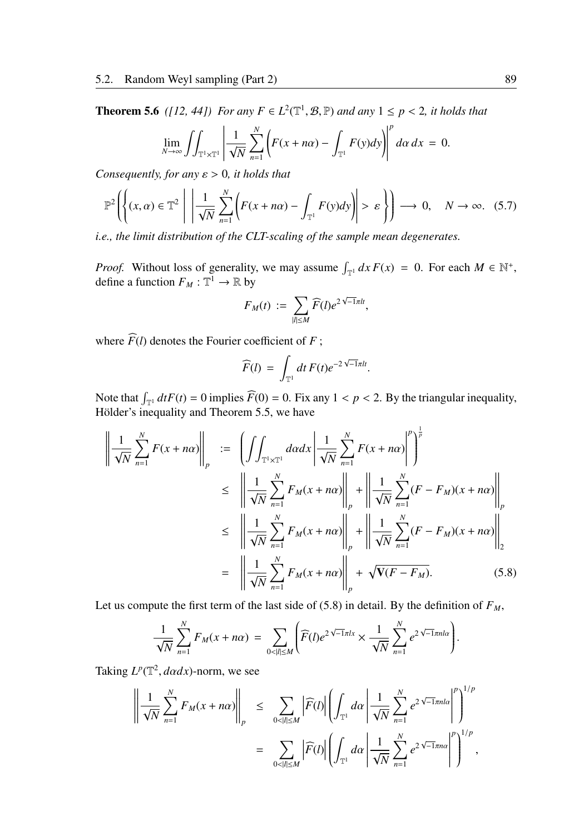**Theorem 5.6** ([12, 44]) For any  $F \in L^2(\mathbb{T}^1, \mathcal{B}, \mathbb{P})$  and any  $1 \leq p < 2$ , it holds that

$$
\lim_{N\to\infty}\iint_{\mathbb{T}^1\times\mathbb{T}^1}\left|\frac{1}{\sqrt{N}}\sum_{n=1}^N\left(F(x+n\alpha)-\int_{\mathbb{T}^1}F(y)dy\right)\right|^p d\alpha dx=0.
$$

*Consequently, for any* ε > 0*, it holds that*

$$
\mathbb{P}^2\left(\left\{(x,\alpha)\in\mathbb{T}^2\;\middle|\;\left|\frac{1}{\sqrt{N}}\sum_{n=1}^N\left(F(x+n\alpha)-\int_{\mathbb{T}^1}F(y)dy\right)\right|>\varepsilon\right\}\right)\longrightarrow 0,\quad N\to\infty.\tag{5.7}
$$

*i.e., the limit distribution of the CLT-scaling of the sample mean degenerates.*

*Proof.* Without loss of generality, we may assume  $\int_{\mathbb{T}^1} dx F(x) = 0$ . For each  $M \in \mathbb{N}^+$ , define a function  $F_M : \mathbb{T}^1 \to \mathbb{R}$  by

$$
F_M(t) := \sum_{|l| \le M} \widehat{F}(l) e^{2\sqrt{-1}\pi lt},
$$

where  $\widehat{F}(l)$  denotes the Fourier coefficient of *F*;

$$
\widehat{F}(l) = \int_{\mathbb{T}^1} dt \, F(t) e^{-2\sqrt{-1}\pi lt}.
$$

Note that  $\int_{\mathbb{T}^1} dfF(t) = 0$  implies  $\widehat{F}(0) = 0$ . Fix any  $1 < p < 2$ . By the triangular inequality, Hölder's inequality and Theorem 5.5, we have

$$
\left\| \frac{1}{\sqrt{N}} \sum_{n=1}^{N} F(x + n\alpha) \right\|_{p} := \left( \int \int_{\mathbb{T}^{1} \times \mathbb{T}^{1}} d\alpha dx \left| \frac{1}{\sqrt{N}} \sum_{n=1}^{N} F(x + n\alpha) \right|^{p} \right)^{\frac{1}{p}}
$$
  
\n
$$
\leq \left\| \frac{1}{\sqrt{N}} \sum_{n=1}^{N} F_{M}(x + n\alpha) \right\|_{p} + \left\| \frac{1}{\sqrt{N}} \sum_{n=1}^{N} (F - F_{M})(x + n\alpha) \right\|_{p}
$$
  
\n
$$
\leq \left\| \frac{1}{\sqrt{N}} \sum_{n=1}^{N} F_{M}(x + n\alpha) \right\|_{p} + \left\| \frac{1}{\sqrt{N}} \sum_{n=1}^{N} (F - F_{M})(x + n\alpha) \right\|_{2}
$$
  
\n
$$
= \left\| \frac{1}{\sqrt{N}} \sum_{n=1}^{N} F_{M}(x + n\alpha) \right\|_{p} + \sqrt{\mathbf{V}(F - F_{M})}. \tag{5.8}
$$

Let us compute the first term of the last side of  $(5.8)$  in detail. By the definition of  $F_M$ ,

$$
\frac{1}{\sqrt{N}}\sum_{n=1}^N F_M(x+n\alpha) = \sum_{0<|l|\leq M} \left(\widehat{F}(l)e^{2\sqrt{-1}\pi lx} \times \frac{1}{\sqrt{N}}\sum_{n=1}^N e^{2\sqrt{-1}\pi n l\alpha}\right).
$$

Taking  $L^p(\mathbb{T}^2, d\alpha dx)$ -norm, we see

$$
\left\| \frac{1}{\sqrt{N}} \sum_{n=1}^N F_M(x + n\alpha) \right\|_p \leq \sum_{0 < |l| \leq M} \left| \widehat{F}(l) \right| \left( \int_{\mathbb{T}^1} d\alpha \, \left| \frac{1}{\sqrt{N}} \sum_{n=1}^N e^{2\sqrt{-1}\pi n l \alpha} \right|^p \right)^{1/p} = \sum_{0 < |l| \leq M} \left| \widehat{F}(l) \right| \left( \int_{\mathbb{T}^1} d\alpha \, \left| \frac{1}{\sqrt{N}} \sum_{n=1}^N e^{2\sqrt{-1}\pi n \alpha} \right|^p \right)^{1/p},
$$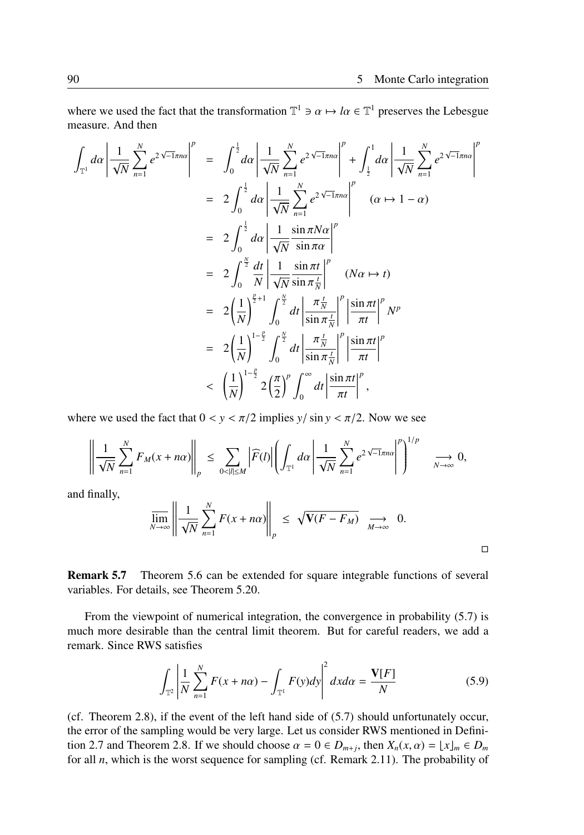□

where we used the fact that the transformation  $\mathbb{T}^1 \ni \alpha \mapsto l\alpha \in \mathbb{T}^1$  preserves the Lebesgue measure. And then

$$
\int_{\mathbb{T}^1} d\alpha \left| \frac{1}{\sqrt{N}} \sum_{n=1}^{N} e^{2\sqrt{-1}\pi n \alpha} \right|^p = \int_0^{\frac{1}{2}} d\alpha \left| \frac{1}{\sqrt{N}} \sum_{n=1}^{N} e^{2\sqrt{-1}\pi n \alpha} \right|^p + \int_{\frac{1}{2}}^1 d\alpha \left| \frac{1}{\sqrt{N}} \sum_{n=1}^{N} e^{2\sqrt{-1}\pi n \alpha} \right|^p
$$
\n
$$
= 2 \int_0^{\frac{1}{2}} d\alpha \left| \frac{1}{\sqrt{N}} \sum_{n=1}^{N} e^{2\sqrt{-1}\pi n \alpha} \right|^p \quad (\alpha \mapsto 1 - \alpha)
$$
\n
$$
= 2 \int_0^{\frac{1}{2}} d\alpha \left| \frac{1}{\sqrt{N}} \frac{\sin \pi N \alpha}{\sin \pi \alpha} \right|^p
$$
\n
$$
= 2 \int_0^{\frac{N}{2}} \frac{dt}{N} \left| \frac{1}{\sqrt{N}} \frac{\sin \pi t}{\sin \pi \frac{t}{N}} \right|^p \quad (N\alpha \mapsto t)
$$
\n
$$
= 2 \left( \frac{1}{N} \right)^{\frac{p}{2}+1} \int_0^{\frac{N}{2}} dt \left| \frac{\pi \frac{t}{N}}{\sin \pi \frac{t}{N}} \right|^p \left| \frac{\sin \pi t}{\pi t} \right|^p N^p
$$
\n
$$
= 2 \left( \frac{1}{N} \right)^{1-\frac{p}{2}} \int_0^{\frac{N}{2}} dt \left| \frac{\pi \frac{t}{N}}{\sin \pi \frac{t}{N}} \right|^p \left| \frac{\sin \pi t}{\pi t} \right|^p
$$
\n
$$
< \left( \frac{1}{N} \right)^{1-\frac{p}{2}} 2 \left( \frac{\pi}{2} \right)^p \int_0^{\infty} dt \left| \frac{\sin \pi t}{\pi t} \right|^p,
$$

where we used the fact that  $0 < y < \pi/2$  implies  $y / \sin y < \pi/2$ . Now we see

$$
\left\|\frac{1}{\sqrt{N}}\sum_{n=1}^N F_M(x+n\alpha)\right\|_p \leq \sum_{0<|l|\leq M}|\widehat{F}(l)|\left(\int_{\mathbb{T}^1}d\alpha\left|\frac{1}{\sqrt{N}}\sum_{n=1}^N e^{2\sqrt{-1}\pi n\alpha}\right|^p\right)^{1/p} \longrightarrow 0,
$$

and finally,

$$
\overline{\lim}_{N \to \infty} \left\| \frac{1}{\sqrt{N}} \sum_{n=1}^{N} F(x + n\alpha) \right\|_{p} \leq \sqrt{\mathbf{V}(F - F_M)} \sum_{M \to \infty} 0.
$$

Remark 5.7 Theorem 5.6 can be extended for square integrable functions of several variables. For details, see Theorem 5.20.

From the viewpoint of numerical integration, the convergence in probability (5.7) is much more desirable than the central limit theorem. But for careful readers, we add a remark. Since RWS satisfies

$$
\int_{\mathbb{T}^2} \left| \frac{1}{N} \sum_{n=1}^N F(x + n\alpha) - \int_{\mathbb{T}^1} F(y) dy \right|^2 dx d\alpha = \frac{\mathbf{V}[F]}{N} \tag{5.9}
$$

(cf. Theorem 2.8), if the event of the left hand side of (5.7) should unfortunately occur, the error of the sampling would be very large. Let us consider RWS mentioned in Definition 2.7 and Theorem 2.8. If we should choose  $\alpha = 0 \in D_{m+j}$ , then  $X_n(x, \alpha) = \lfloor x \rfloor_m \in D_m$ for all *n*, which is the worst sequence for sampling (cf. Remark 2.11). The probability of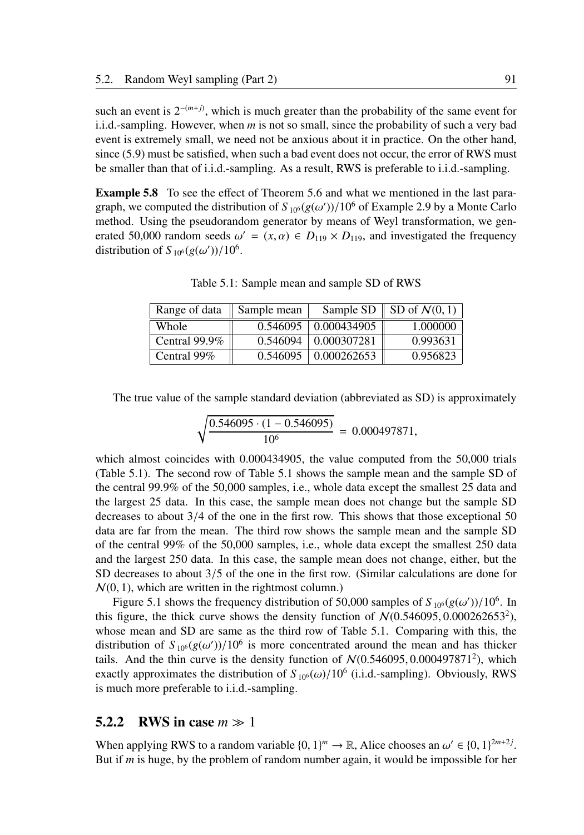such an event is  $2^{-(m+j)}$ , which is much greater than the probability of the same event for i.i.d.-sampling. However, when *m* is not so small, since the probability of such a very bad event is extremely small, we need not be anxious about it in practice. On the other hand, since (5.9) must be satisfied, when such a bad event does not occur, the error of RWS must be smaller than that of i.i.d.-sampling. As a result, RWS is preferable to i.i.d.-sampling.

Example 5.8 To see the effect of Theorem 5.6 and what we mentioned in the last paragraph, we computed the distribution of  $S_{10^6}(g(\omega'))/10^6$  of Example 2.9 by a Monte Carlo method. Using the pseudorandom generator by means of Weyl transformation, we generated 50,000 random seeds  $\omega' = (x, \alpha) \in D_{119} \times D_{119}$ , and investigated the frequency distribution of  $S_{10^6}(g(\omega'))/10^6$ .

| Range of data | Sample mean |             | Sample SD $\parallel$ SD of $\mathcal{N}(0, 1)$ |
|---------------|-------------|-------------|-------------------------------------------------|
| Whole         | 0.546095    | 0.000434905 | 1.000000                                        |
| Central 99.9% | 0.546094    | 0.000307281 | 0.993631                                        |
| Central 99%   | 0.546095    | 0.000262653 | 0.956823                                        |

Table 5.1: Sample mean and sample SD of RWS

The true value of the sample standard deviation (abbreviated as SD) is approximately

$$
\sqrt{\frac{0.546095 \cdot (1 - 0.546095)}{10^6}} = 0.000497871,
$$

which almost coincides with 0.000434905, the value computed from the 50,000 trials (Table 5.1). The second row of Table 5.1 shows the sample mean and the sample SD of the central 99.9% of the 50,000 samples, i.e., whole data except the smallest 25 data and the largest 25 data. In this case, the sample mean does not change but the sample SD decreases to about 3/4 of the one in the first row. This shows that those exceptional 50 data are far from the mean. The third row shows the sample mean and the sample SD of the central 99% of the 50,000 samples, i.e., whole data except the smallest 250 data and the largest 250 data. In this case, the sample mean does not change, either, but the SD decreases to about 3/5 of the one in the first row. (Similar calculations are done for  $N(0, 1)$ , which are written in the rightmost column.)

Figure 5.1 shows the frequency distribution of 50,000 samples of  $S_{10^6}(g(\omega'))/10^6$ . In this figure, the thick curve shows the density function of  $N(0.546095, 0.000262653^2)$ , whose mean and SD are same as the third row of Table 5.1. Comparing with this, the distribution of  $S_{10^6}(g(\omega'))/10^6$  is more concentrated around the mean and has thicker tails. And the thin curve is the density function of  $N(0.546095, 0.000497871^2)$ , which exactly approximates the distribution of  $S_{10^6}(\omega)/10^6$  (i.i.d.-sampling). Obviously, RWS is much more preferable to i.i.d.-sampling.

### 5.2.2 RWS in case *m* ≫ 1

When applying RWS to a random variable  $\{0, 1\}^m \to \mathbb{R}$ , Alice chooses an  $\omega' \in \{0, 1\}^{2m+2j}$ . But if *m* is huge, by the problem of random number again, it would be impossible for her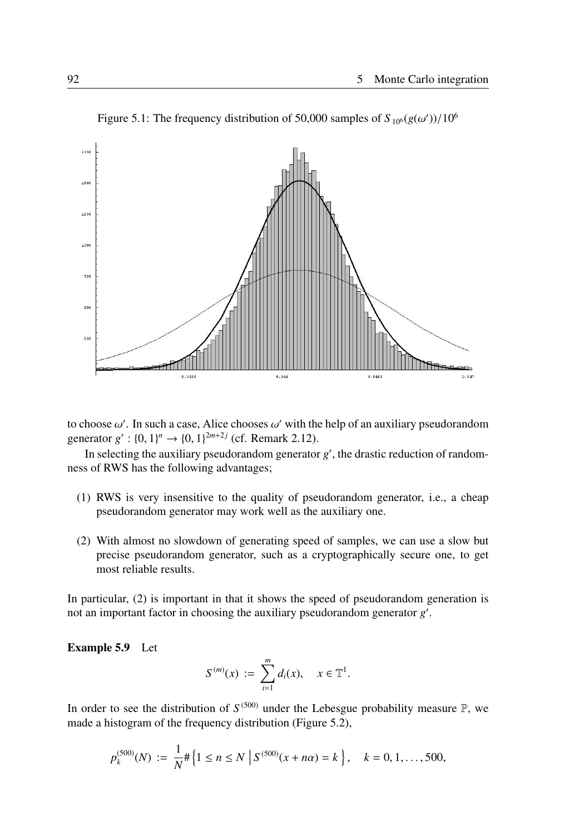

Figure 5.1: The frequency distribution of 50,000 samples of  $S_{10^6}(g(\omega'))/10^6$ 

to choose  $\omega'$ . In such a case, Alice chooses  $\omega'$  with the help of an auxiliary pseudorandom generator  $g'$ :  $\{0, 1\}^n \rightarrow \{0, 1\}^{2m+2j}$  (cf. Remark 2.12).

In selecting the auxiliary pseudorandom generator  $g'$ , the drastic reduction of randomness of RWS has the following advantages;

- (1) RWS is very insensitive to the quality of pseudorandom generator, i.e., a cheap pseudorandom generator may work well as the auxiliary one.
- (2) With almost no slowdown of generating speed of samples, we can use a slow but precise pseudorandom generator, such as a cryptographically secure one, to get most reliable results.

In particular, (2) is important in that it shows the speed of pseudorandom generation is not an important factor in choosing the auxiliary pseudorandom generator  $g'$ .

#### Example 5.9 Let

$$
S^{(m)}(x) := \sum_{i=1}^{m} d_i(x), \quad x \in \mathbb{T}^1.
$$

In order to see the distribution of  $S^{(500)}$  under the Lebesgue probability measure  $\mathbb{P}$ , we made a histogram of the frequency distribution (Figure 5.2),

$$
p_k^{(500)}(N) := \frac{1}{N} \# \left\{ 1 \le n \le N \; \left| \; S^{(500)}(x + n\alpha) = k \; \right\}, \quad k = 0, 1, \ldots, 500,
$$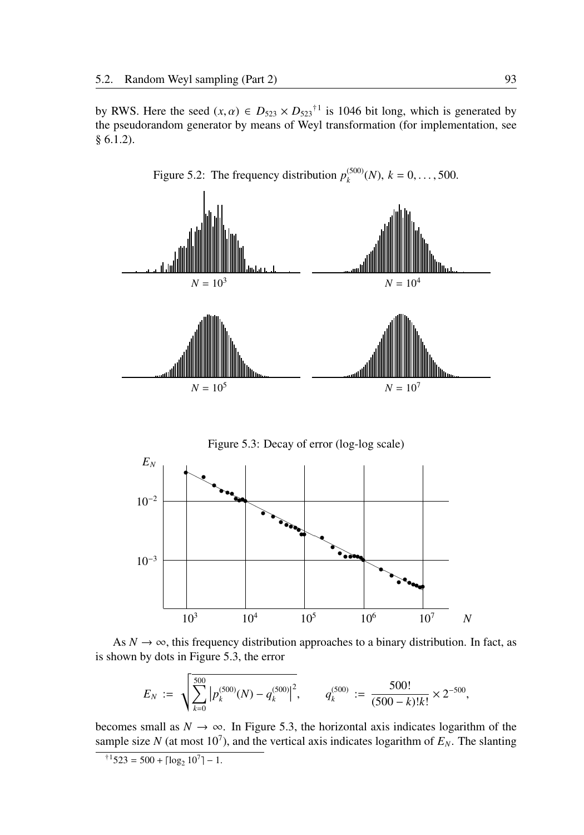by RWS. Here the seed  $(x, \alpha) \in D_{523} \times D_{523}^{\dagger 1}$  is 1046 bit long, which is generated by the pseudorandom generator by means of Weyl transformation (for implementation, see § 6.1.2).



Figure 5.2: The frequency distribution  $p_k^{(500)}$  $\binom{(500)}{k}$  (*N*),  $k = 0, \ldots, 500$ .





$$
E_N \; := \; \sqrt{\sum_{k=0}^{500} \left| p_k^{(500)}(N) - q_k^{(500)} \right|^2}, \qquad q_k^{(500)} \; := \; \frac{500!}{(500-k)!k!} \times 2^{-500},
$$

becomes small as  $N \to \infty$ . In Figure 5.3, the horizontal axis indicates logarithm of the sample size *N* (at most 10<sup>7</sup>), and the vertical axis indicates logarithm of  $E<sub>N</sub>$ . The slanting

$$
^{\dagger 1}523 = 500 + \lceil \log_2 10^7 \rceil - 1.
$$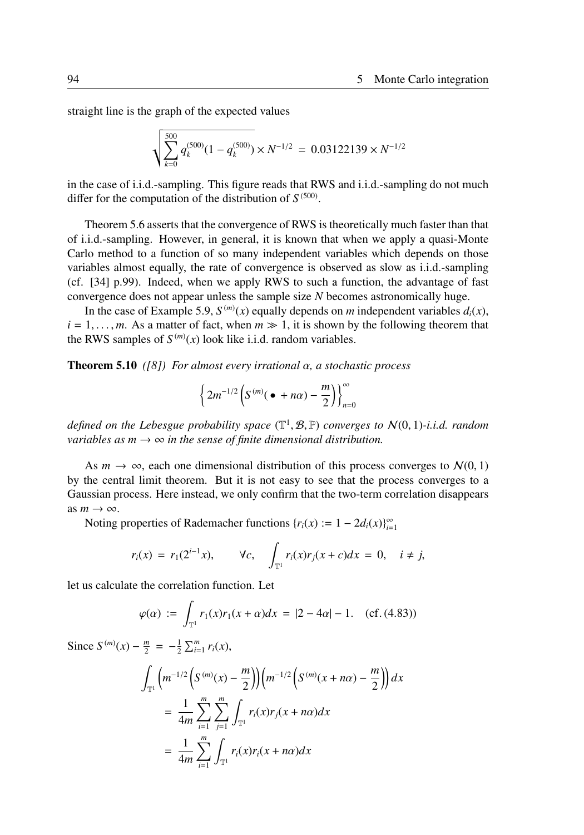straight line is the graph of the expected values

$$
\sqrt{\sum_{k=0}^{500} q_k^{(500)} (1 - q_k^{(500)}) \times N^{-1/2}} = 0.03122139 \times N^{-1/2}
$$

in the case of i.i.d.-sampling. This figure reads that RWS and i.i.d.-sampling do not much differ for the computation of the distribution of  $S^{(500)}$ .

Theorem 5.6 asserts that the convergence of RWS is theoretically much faster than that of i.i.d.-sampling. However, in general, it is known that when we apply a quasi-Monte Carlo method to a function of so many independent variables which depends on those variables almost equally, the rate of convergence is observed as slow as i.i.d.-sampling (cf. [34] p.99). Indeed, when we apply RWS to such a function, the advantage of fast convergence does not appear unless the sample size *N* becomes astronomically huge.

In the case of Example 5.9,  $S^{(m)}(x)$  equally depends on *m* independent variables  $d_i(x)$ ,  $i = 1, \ldots, m$ . As a matter of fact, when  $m \gg 1$ , it is shown by the following theorem that the RWS samples of  $S^{(m)}(x)$  look like i.i.d. random variables.

Theorem 5.10 *([8]) For almost every irrational* α*, a stochastic process*

$$
\left\{2m^{-1/2}\left(S^{(m)}(\bullet+n\alpha)-\frac{m}{2}\right)\right\}_{n=0}^{\infty}
$$

*defined on the Lebesgue probability space* (T 1 , B, P) *converges to* N(0, 1)*-i.i.d. random variables as m*  $\rightarrow \infty$  *in the sense of finite dimensional distribution.* 

As  $m \to \infty$ , each one dimensional distribution of this process converges to  $\mathcal{N}(0, 1)$ by the central limit theorem. But it is not easy to see that the process converges to a Gaussian process. Here instead, we only confirm that the two-term correlation disappears as  $m \to \infty$ .

Noting properties of Rademacher functions  $\{r_i(x) := 1 - 2d_i(x)\}_{i=1}^{\infty}$ 

$$
r_i(x) = r_1(2^{i-1}x), \qquad \forall c, \quad \int_{\mathbb{T}^1} r_i(x)r_j(x+c)dx = 0, \quad i \neq j,
$$

let us calculate the correlation function. Let

$$
\varphi(\alpha) := \int_{\mathbb{T}^1} r_1(x) r_1(x + \alpha) dx = |2 - 4\alpha| - 1. \quad (cf. (4.83))
$$

Since  $S^{(m)}(x) - \frac{m}{2} = -\frac{1}{2} \sum_{i=1}^{m} r_i(x)$ ,

$$
\int_{\mathbb{T}^1} \left( m^{-1/2} \left( S^{(m)}(x) - \frac{m}{2} \right) \right) \left( m^{-1/2} \left( S^{(m)}(x + n\alpha) - \frac{m}{2} \right) \right) dx
$$
\n
$$
= \frac{1}{4m} \sum_{i=1}^m \sum_{j=1}^m \int_{\mathbb{T}^1} r_i(x) r_j(x + n\alpha) dx
$$
\n
$$
= \frac{1}{4m} \sum_{i=1}^m \int_{\mathbb{T}^1} r_i(x) r_i(x + n\alpha) dx
$$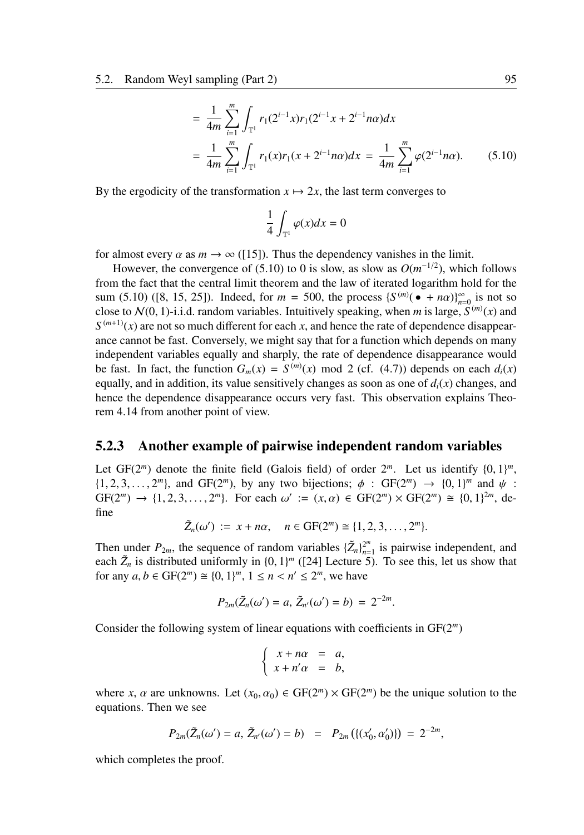$$
= \frac{1}{4m} \sum_{i=1}^{m} \int_{\mathbb{T}^1} r_1(2^{i-1}x) r_1(2^{i-1}x + 2^{i-1}n\alpha) dx
$$
  
= 
$$
\frac{1}{4m} \sum_{i=1}^{m} \int_{\mathbb{T}^1} r_1(x) r_1(x + 2^{i-1}n\alpha) dx = \frac{1}{4m} \sum_{i=1}^{m} \varphi(2^{i-1}n\alpha).
$$
 (5.10)

By the ergodicity of the transformation  $x \mapsto 2x$ , the last term converges to

$$
\frac{1}{4}\int_{\mathbb{T}^1}\varphi(x)dx=0
$$

for almost every  $\alpha$  as  $m \to \infty$  ([15]). Thus the dependency vanishes in the limit.

However, the convergence of (5.10) to 0 is slow, as slow as  $O(m^{-1/2})$ , which follows from the fact that the central limit theorem and the law of iterated logarithm hold for the sum (5.10) ([8, 15, 25]). Indeed, for  $m = 500$ , the process  ${S^{(m)}( \cdot + n\alpha)}_{n=0}^{\infty}$  is not so close to  $\mathcal{N}(0, 1)$ -i.i.d. random variables. Intuitively speaking, when *m* is large,  $\mathcal{S}^{(m)}(x)$  and  $S^{(m+1)}(x)$  are not so much different for each *x*, and hence the rate of dependence disappearance cannot be fast. Conversely, we might say that for a function which depends on many independent variables equally and sharply, the rate of dependence disappearance would be fast. In fact, the function  $G_m(x) = S^{(m)}(x) \mod 2$  (cf. (4.7)) depends on each  $d_i(x)$ equally, and in addition, its value sensitively changes as soon as one of  $d_i(x)$  changes, and hence the dependence disappearance occurs very fast. This observation explains Theorem 4.14 from another point of view.

#### 5.2.3 Another example of pairwise independent random variables

Let  $GF(2<sup>m</sup>)$  denote the finite field (Galois field) of order  $2<sup>m</sup>$ . Let us identify  $\{0, 1\}<sup>m</sup>$ ,  $\{1, 2, 3, \ldots, 2^m\}$ , and GF(2<sup>m</sup>), by any two bijections;  $\phi$ : GF(2<sup>m</sup>)  $\rightarrow$   $\{0, 1\}^m$  and  $\psi$ :  $GF(2^m) \to \{1, 2, 3, ..., 2^m\}$ . For each  $\omega' := (x, \alpha) \in GF(2^m) \times GF(2^m) \cong \{0, 1\}^{2m}$ , define

$$
\tilde{Z}_n(\omega') := x + n\alpha, \quad n \in \text{GF}(2^m) \cong \{1, 2, 3, ..., 2^m\}.
$$

Then under  $P_{2m}$ , the sequence of random variables  ${\{\tilde{Z}_n\}}_{n=1}^{2^m}$  $\frac{2^m}{n-1}$  is pairwise independent, and each  $\tilde{Z}_n$  is distributed uniformly in  $\{0, 1\}^m$  ([24] Lecture 5). To see this, let us show that for any  $a, b \in \text{GF}(2^m) \cong \{0, 1\}^m, 1 \le n < n' \le 2^m$ , we have

$$
P_{2m}(\tilde{Z}_n(\omega') = a, \, \tilde{Z}_{n'}(\omega') = b) = 2^{-2m}.
$$

Consider the following system of linear equations with coefficients in GF(2*<sup>m</sup>* )

$$
\begin{cases}\nx + n\alpha &= a, \\
x + n'\alpha &= b,\n\end{cases}
$$

where *x*,  $\alpha$  are unknowns. Let  $(x_0, \alpha_0) \in \text{GF}(2^m) \times \text{GF}(2^m)$  be the unique solution to the equations. Then we see

$$
P_{2m}(\tilde{Z}_n(\omega') = a, \, \tilde{Z}_{n'}(\omega') = b) = P_{2m}(\{(x'_0, \alpha'_0)\}) = 2^{-2m},
$$

which completes the proof.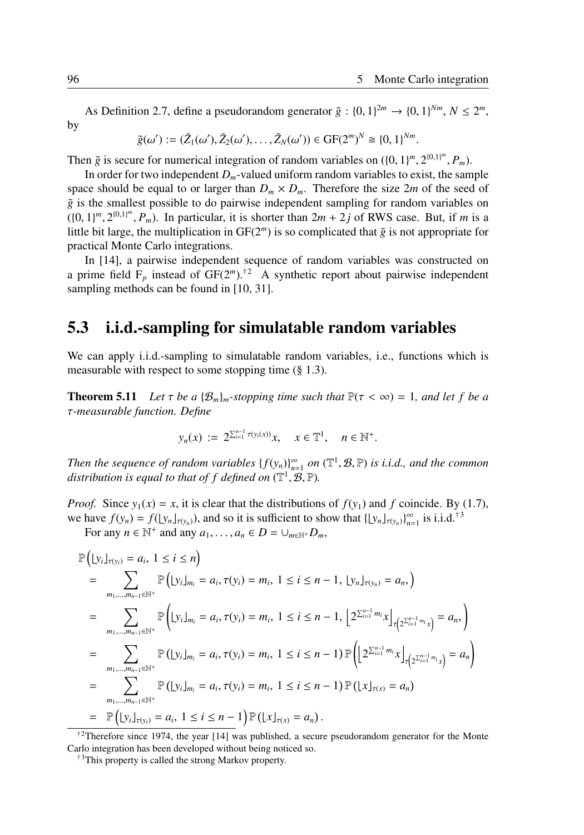As Definition 2.7, define a pseudorandom generator  $\tilde{g}$  :  $\{0, 1\}^{2m} \rightarrow \{0, 1\}^{Nm}, N \leq 2^m$ , by

$$
\tilde{g}(\omega') := (\tilde{Z}_1(\omega'), \tilde{Z}_2(\omega'), \ldots, \tilde{Z}_N(\omega')) \in \mathrm{GF}(2^m)^N \cong \{0,1\}^{Nm}.
$$

Then  $\tilde{g}$  is secure for numerical integration of random variables on  $({0, 1})^m, 2^{({0,1})^m}, P_m)$ .

In order for two independent  $D_m$ -valued uniform random variables to exist, the sample space should be equal to or larger than  $D_m \times D_m$ . Therefore the size 2*m* of the seed of  $\tilde{g}$  is the smallest possible to do pairwise independent sampling for random variables on  $((0, 1)^m, 2^{\{0, 1\}^m}, P_m)$ . In particular, it is shorter than  $2m + 2j$  of RWS case. But, if *m* is a little bit large, the multiplication in  $GF(2<sup>m</sup>)$  is so complicated that  $\tilde{g}$  is not appropriate for practical Monte Carlo integrations.

In [14], a pairwise independent sequence of random variables was constructed on a prime field  $F_p$  instead of  $GF(2^m)$ .<sup>†2</sup> A synthetic report about pairwise independent sampling methods can be found in [10, 31].

# 5.3 i.i.d.-sampling for simulatable random variables

We can apply i.i.d.-sampling to simulatable random variables, i.e., functions which is measurable with respect to some stopping time (§ 1.3).

**Theorem 5.11** Let  $\tau$  be a { $\mathcal{B}_m$ }<sub>*m*</sub>-stopping time such that  $\mathbb{P}(\tau < \infty) = 1$ , and let f be a τ*-measurable function. Define*

$$
y_n(x) := 2^{\sum_{i=1}^{n-1} \tau(y_i(x))} x, \quad x \in \mathbb{T}^1, \quad n \in \mathbb{N}^+.
$$

*Then the sequence of random variables*  $\{f(y_n)\}_{n=1}^{\infty}$  *on*  $(\mathbb{T}^1, \mathcal{B}, \mathbb{P})$  *is i.i.d., and the common* distribution is equal to that of  $f$  defined on  $(\mathbb{T}^1,\mathcal{B},\mathbb{P})$ .

*Proof.* Since  $y_1(x) = x$ , it is clear that the distributions of  $f(y_1)$  and *f* coincide. By (1.7), we have  $f(y_n) = f(\lfloor y_n \rfloor_{\tau(y_n)})$ , and so it is sufficient to show that  $\lfloor \lfloor y_n \rfloor_{\tau(y_n)} \rfloor_{n=1}^{\infty}$  is i.i.d.<sup>†3</sup>

For any  $n \in \mathbb{N}^+$  and any  $a_1, \ldots, a_n \in D = \cup_{m \in \mathbb{N}^+} D_m$ ,

$$
\mathbb{P}(|y_i|_{\tau(y_i)} = a_i, 1 \le i \le n)
$$
\n
$$
= \sum_{m_1, \dots, m_{n-1} \in \mathbb{N}^+} \mathbb{P}(|y_i|_{m_i} = a_i, \tau(y_i) = m_i, 1 \le i \le n - 1, |y_n|_{\tau(y_n)} = a_n, )
$$
\n
$$
= \sum_{m_1, \dots, m_{n-1} \in \mathbb{N}^+} \mathbb{P}(|y_i|_{m_i} = a_i, \tau(y_i) = m_i, 1 \le i \le n - 1, |2^{\sum_{i=1}^{n-1} m_i} x|_{\tau(2^{\sum_{i=1}^{n-1} m_i} x)} = a_n, \}
$$
\n
$$
= \sum_{m_1, \dots, m_{n-1} \in \mathbb{N}^+} \mathbb{P}(|y_i|_{m_i} = a_i, \tau(y_i) = m_i, 1 \le i \le n - 1) \mathbb{P}(|2^{\sum_{i=1}^{n-1} m_i} x|_{\tau(2^{\sum_{i=1}^{n-1} m_i} x)} = a_n \}
$$
\n
$$
= \sum_{m_1, \dots, m_{n-1} \in \mathbb{N}^+} \mathbb{P}(|y_i|_{m_i} = a_i, \tau(y_i) = m_i, 1 \le i \le n - 1) \mathbb{P}(|x|_{\tau(x)} = a_n)
$$
\n
$$
= \mathbb{P}(|y_i|_{\tau(y_i)} = a_i, 1 \le i \le n - 1) \mathbb{P}(|x|_{\tau(x)} = a_n).
$$

<sup>†2</sup>Therefore since 1974, the year [14] was published, a secure pseudorandom generator for the Monte Carlo integration has been developed without being noticed so.

<sup>&</sup>lt;sup>†3</sup>This property is called the strong Markov property.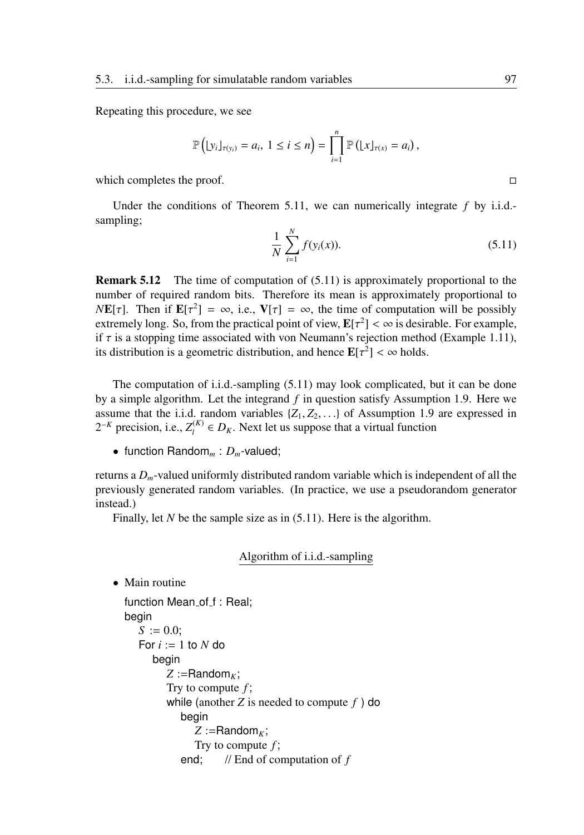Repeating this procedure, we see

$$
\mathbb{P}\left(\lfloor y_i \rfloor_{\tau(y_i)} = a_i, \ 1 \leq i \leq n\right) = \prod_{i=1}^n \mathbb{P}\left(\lfloor x \rfloor_{\tau(x)} = a_i\right),
$$

which completes the proof.  $\Box$ 

Under the conditions of Theorem 5.11, we can numerically integrate *f* by i.i.d. sampling;

$$
\frac{1}{N} \sum_{i=1}^{N} f(y_i(x)).
$$
\n(5.11)

**Remark 5.12** The time of computation of  $(5.11)$  is approximately proportional to the number of required random bits. Therefore its mean is approximately proportional to *NE*[ $\tau$ ]. Then if  $E[\tau^2] = \infty$ , i.e.,  $V[\tau] = \infty$ , the time of computation will be possibly extremely long. So, from the practical point of view,  $\mathbf{E}[\tau^2] < \infty$  is desirable. For example, if  $\tau$  is a stopping time associated with von Neumann's rejection method (Example 1.11), its distribution is a geometric distribution, and hence  $\mathbf{E}[\tau^2] < \infty$  holds.

The computation of i.i.d.-sampling (5.11) may look complicated, but it can be done by a simple algorithm. Let the integrand *f* in question satisfy Assumption 1.9. Here we assume that the i.i.d. random variables  $\{Z_1, Z_2, \ldots\}$  of Assumption 1.9 are expressed in  $2^{-K}$  precision, i.e.,  $Z_l^{(K)}$  $L_l^{(K)} \in D_K$ . Next let us suppose that a virtual function

• function Random*<sup>m</sup>* : *Dm*-valued;

returns a *Dm*-valued uniformly distributed random variable which is independent of all the previously generated random variables. (In practice, we use a pseudorandom generator instead.)

Finally, let *N* be the sample size as in (5.11). Here is the algorithm.

## Algorithm of i.i.d.-sampling

• Main routine

```
function Mean_of_f : Real;
begin
   S := 0.0;
   For i := 1 to N do
      begin
         Z :=Random<sub>K</sub>;
         Try to compute f ;
         while (another Z is needed to compute f ) do
            begin
               Z :=Random<sub>K</sub>;
               Try to compute f ;
            end; // End of computation of f
```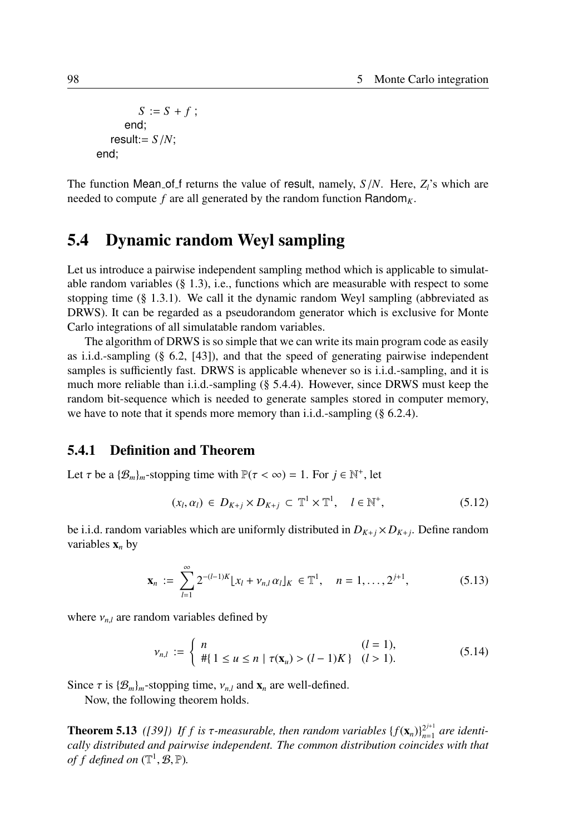```
S := S + f;
     end;
  result:= S/N;
end;
```
The function Mean of f returns the value of result, namely,  $S/N$ . Here,  $Z_i$ 's which are needed to compute  $f$  are all generated by the random function Random<sub>K</sub>.

# 5.4 Dynamic random Weyl sampling

Let us introduce a pairwise independent sampling method which is applicable to simulatable random variables  $(\S 1.3)$ , i.e., functions which are measurable with respect to some stopping time  $(\S 1.3.1)$ . We call it the dynamic random Weyl sampling (abbreviated as DRWS). It can be regarded as a pseudorandom generator which is exclusive for Monte Carlo integrations of all simulatable random variables.

The algorithm of DRWS is so simple that we can write its main program code as easily as i.i.d.-sampling (§ 6.2, [43]), and that the speed of generating pairwise independent samples is sufficiently fast. DRWS is applicable whenever so is i.i.d.-sampling, and it is much more reliable than i.i.d.-sampling (§ 5.4.4). However, since DRWS must keep the random bit-sequence which is needed to generate samples stored in computer memory, we have to note that it spends more memory than i.i.d.-sampling (§ 6.2.4).

### 5.4.1 Definition and Theorem

Let  $\tau$  be a  $\{\mathcal{B}_m\}_m$ -stopping time with  $\mathbb{P}(\tau < \infty) = 1$ . For  $j \in \mathbb{N}^+$ , let

$$
(x_l, \alpha_l) \in D_{K+j} \times D_{K+j} \subset \mathbb{T}^1 \times \mathbb{T}^1, \quad l \in \mathbb{N}^+, \tag{5.12}
$$

be i.i.d. random variables which are uniformly distributed in  $D_{K+j} \times D_{K+j}$ . Define random variables  $x_n$  by

$$
\mathbf{x}_n := \sum_{l=1}^{\infty} 2^{-(l-1)K} [x_l + v_{n,l} \alpha_l]_K \in \mathbb{T}^1, \quad n = 1, \dots, 2^{j+1}, \tag{5.13}
$$

where  $v_{n,l}$  are random variables defined by

$$
\nu_{n,l} := \begin{cases} n & (l = 1), \\ \# \{ 1 \le u \le n \mid \tau(\mathbf{x}_u) > (l - 1)K \} & (l > 1). \end{cases}
$$
(5.14)

Since  $\tau$  is  $\{\mathcal{B}_m\}_m$ -stopping time,  $v_{n,l}$  and  $\mathbf{x}_n$  are well-defined.

Now, the following theorem holds.

**Theorem 5.13** ([39]) If f is  $\tau$ -measurable, then random variables { $f(\mathbf{x}_n)$ }<sub>n=1</sub>  $_{n=1}^{2^{j+1}}$  are identi*cally distributed and pairwise independent. The common distribution coincides with that of f defined on*  $(\mathbb{T}^1, \mathcal{B}, \mathbb{P})$ *.*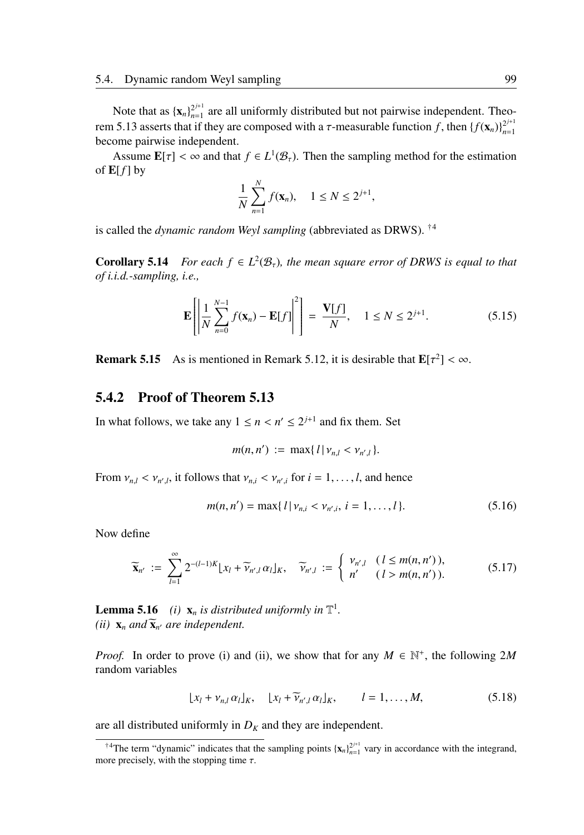Note that as  ${x_n}_{n=1}^{2^{j+1}}$  $2^{j+1}$  are all uniformly distributed but not pairwise independent. Theorem 5.13 asserts that if they are composed with a *τ*-measurable function *f*, then  ${f(\mathbf{x}_n)}_{n=1}^{2^{j+1}}$ *n*=1 become pairwise independent.

Assume  $\mathbf{E}[\tau] < \infty$  and that  $f \in L^1(\mathcal{B}_\tau)$ . Then the sampling method for the estimation of  $E[f]$  by

$$
\frac{1}{N}\sum_{n=1}^N f(\mathbf{x}_n), \quad 1 \le N \le 2^{j+1},
$$

is called the *dynamic random Weyl sampling* (abbreviated as DRWS). †<sup>4</sup>

**Corollary 5.14** *For each*  $f \in L^2(\mathcal{B}_\tau)$ *, the mean square error of DRWS is equal to that of i.i.d.-sampling, i.e.,*

$$
\mathbf{E}\left[\left|\frac{1}{N}\sum_{n=0}^{N-1}f(\mathbf{x}_n)-\mathbf{E}[f]\right|^2\right] = \frac{\mathbf{V}[f]}{N}, \quad 1 \le N \le 2^{j+1}.\tag{5.15}
$$

**Remark 5.15** As is mentioned in Remark 5.12, it is desirable that  $\mathbf{E}[\tau^2] < \infty$ .

## 5.4.2 Proof of Theorem 5.13

In what follows, we take any  $1 \le n < n' \le 2^{j+1}$  and fix them. Set

$$
m(n, n') := \max\{ l | v_{n,l} < v_{n',l} \}.
$$

From  $v_{n,l} < v_{n',l}$ , it follows that  $v_{n,i} < v_{n',i}$  for  $i = 1, \ldots, l$ , and hence

$$
m(n, n') = \max\{l \mid \nu_{n,i} < \nu_{n',i}, \, i = 1, \dots, l\}.\tag{5.16}
$$

Now define

$$
\widetilde{\mathbf{x}}_{n'} := \sum_{l=1}^{\infty} 2^{-(l-1)K} \lfloor x_l + \widetilde{\nu}_{n',l} \alpha_l \rfloor_K, \quad \widetilde{\nu}_{n',l} := \begin{cases} \nu_{n',l} & (l \le m(n,n')), \\ n' & (l > m(n,n')). \end{cases} \tag{5.17}
$$

**Lemma 5.16** *(i)*  $\mathbf{x}_n$  *is distributed uniformly in*  $\mathbb{T}^1$ *. (ii)*  $\mathbf{x}_n$  *and*  $\widetilde{\mathbf{x}}_{n'}$  *are independent.* 

*Proof.* In order to prove (i) and (ii), we show that for any  $M \in \mathbb{N}^+$ , the following 2*M* random variables

$$
\lfloor x_l + v_{n,l} \alpha_l \rfloor_K, \quad \lfloor x_l + \widetilde{\nu}_{n',l} \alpha_l \rfloor_K, \qquad l = 1, \dots, M,
$$
 (5.18)

are all distributed uniformly in  $D_K$  and they are independent.

<sup>&</sup>lt;sup>†4</sup>The term "dynamic" indicates that the sampling points  $\{x_n\}_{n=1}^{2^{j+1}}$  vary in accordance with the integrand, more precisely, with the stopping time  $\tau$ .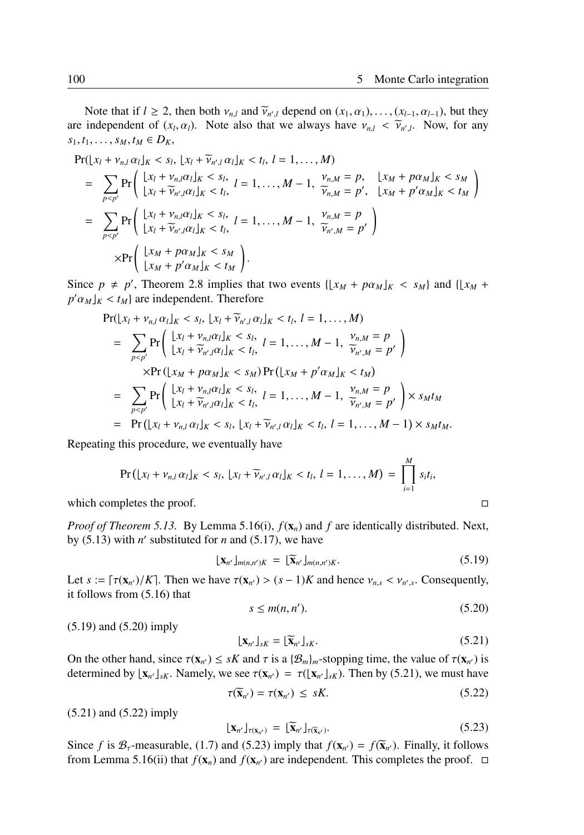Note that if  $l \ge 2$ , then both  $v_{n,l}$  and  $\tilde{v}_{n',l}$  depend on  $(x_1, \alpha_1), \ldots, (x_{l-1}, \alpha_{l-1})$ , but they independent of  $(x, \alpha)$ . Note also that we always have  $y_i \le \tilde{y}_i$ . Now for any are independent of  $(x_l, \alpha_l)$ . Note also that we always have  $v_{n,l} < \tilde{v}_{n',l}$ . Now, for any  $s_1, t_1, \ldots, s_M, t_M \in D_K$ 

$$
\Pr(|x_l + v_{n,l}\alpha_l|_K < s_l, |x_l + \widetilde{v}_{n',l}\alpha_l|_K < t_l, l = 1,..., M)
$$
\n
$$
= \sum_{p < p'} \Pr\left(\frac{|x_l + v_{n,l}\alpha_l|_K < s_l, l = 1,..., M - 1, \frac{v_{n,M} = p}{\widetilde{v}_{n,M} = p'}, \frac{|x_M + p\alpha_M|_K < s_M}{|x_M + p'\alpha_M|_K < t_M}\right)
$$
\n
$$
= \sum_{p < p'} \Pr\left(\frac{|x_l + v_{n,l}\alpha_l|_K < s_l, l = 1,..., M - 1, \frac{v_{n,M} = p}{\widetilde{v}_{n',M} = p'}\right)
$$
\n
$$
\times \Pr\left(\frac{|x_M + p\alpha_M|_K < s_M}{|x_M + p'\alpha_M|_K < t_M}\right).
$$

Since  $p \neq p'$ , Theorem 2.8 implies that two events  $\{ \lfloor x_M + p \alpha_M \rfloor_K < s_M \}$  and  $\{ \lfloor x_M + p \alpha_M \rfloor_K \leq s_M \}$  $p' \alpha_M \leq t_M$  are independent. Therefore

$$
Pr(|x_l + v_{n,l}\alpha_l|_K < s_l, |x_l + \widetilde{v}_{n',l}\alpha_l|_K < t_l, l = 1,..., M)
$$
  
\n
$$
= \sum_{p < p'} Pr\left(\frac{|x_l + v_{n,l}\alpha_l|_K < s_l, l = 1,..., M - 1, \frac{v_{n,M} = p}{\widetilde{v}_{n',M} = p'}\right)
$$
  
\n
$$
\times Pr(|x_M + p\alpha_M|_K < s_M) Pr(|x_M + p'\alpha_M|_K < t_M)
$$
  
\n
$$
= \sum_{p < p'} Pr\left(\frac{|x_l + v_{n,l}\alpha_l|_K < s_l, l = 1,..., M - 1, \frac{v_{n,M} = p}{\widetilde{v}_{n',M} = p'}\right) \times s_M t_M
$$
  
\n
$$
= Pr(|x_l + v_{n,l}\alpha_l|_K < s_l, |x_l + \widetilde{v}_{n',l}\alpha_l|_K < t_l, l = 1,..., M - 1) \times s_M t_M.
$$

Repeating this procedure, we eventually have

$$
\Pr(|x_l + v_{n,l} \alpha_l|_K < s_l, |x_l + \widetilde{v}_{n',l} \alpha_l|_K < t_l, l = 1, ..., M) = \prod_{i=1}^M s_i t_i,
$$

which completes the proof.  $\Box$ 

*Proof of Theorem 5.13.* By Lemma 5.16(i), *f*(x*n*) and *f* are identically distributed. Next, by  $(5.13)$  with *n'* substituted for *n* and  $(5.17)$ , we have

$$
\lfloor \mathbf{x}_{n'} \rfloor_{m(n,n')K} = \lfloor \widetilde{\mathbf{x}}_{n'} \rfloor_{m(n,n')K}.
$$
 (5.19)

Let  $s := \lceil \tau(\mathbf{x}_{n'})/K \rceil$ . Then we have  $\tau(\mathbf{x}_{n'}) > (s-1)K$  and hence  $v_{n,s} < v_{n',s}$ . Consequently, it follows from (5.16) that

$$
s \le m(n, n'). \tag{5.20}
$$

(5.19) and (5.20) imply

$$
\begin{aligned} \left[ \mathbf{X}_{n'} \right]_{sK} &= \left[ \widetilde{\mathbf{X}}_{n'} \right]_{sK}. \end{aligned} \tag{5.21}
$$

On the other hand, since  $\tau(\mathbf{x}_{n'}) \leq sK$  and  $\tau$  is a  $\{\mathcal{B}_m\}_m$ -stopping time, the value of  $\tau(\mathbf{x}_{n'})$  is determined by  $[\mathbf{x}_{n'}]_{sK}$ . Namely, we see  $\tau(\mathbf{x}_{n'}) = \tau([\mathbf{x}_{n'}]_{sK})$ . Then by (5.21), we must have

$$
\tau(\widetilde{\mathbf{x}}_{n'}) = \tau(\mathbf{x}_{n'}) \leq sK. \tag{5.22}
$$

(5.21) and (5.22) imply

$$
\mathbf{X}_{n'}\mathbf{I}_{\tau(\mathbf{x}_{n'})} = \mathbf{I}_{\mathbf{x}_{n'}}\mathbf{I}_{\tau(\mathbf{x}_{n'})}.
$$
\n(5.23)

Since *f* is  $B_\tau$ -measurable, (1.7) and (5.23) imply that  $f(\mathbf{x}_{n'}) = f(\overline{\mathbf{x}}_{n'})$ . Finally, it follows from I emma 5.16(ii) that  $f(\mathbf{x})$  and  $f(\mathbf{x})$  are independent. This completes the proof. from Lemma 5.16(ii) that  $f(\mathbf{x}_n)$  and  $f(\mathbf{x}_{n'})$  are independent. This completes the proof.  $\Box$ 

$$
\Box
$$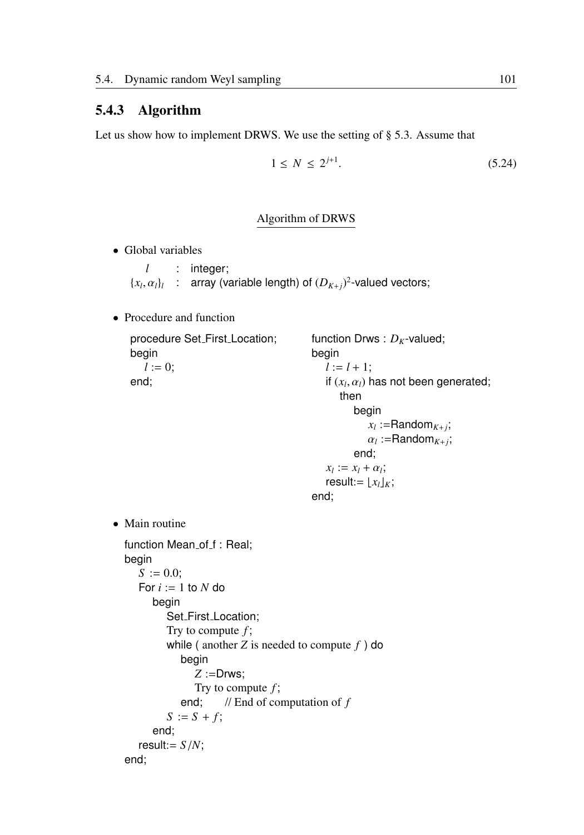## 5.4.3 Algorithm

Let us show how to implement DRWS. We use the setting of § 5.3. Assume that

$$
1 \le N \le 2^{j+1}.\tag{5.24}
$$

#### Algorithm of DRWS

• Global variables

*l* : integer;  $\{x_l, \alpha_l\}_l$  : array (variable length) of  $(D_{K+j})^2$ -valued vectors;

• Procedure and function

```
procedure Set First Location;
   begin
      l := 0;end;
                                            function Drws : D_K-valued;
                                            begin
                                              l := l + 1;if (x_l, \alpha_l) has not been generated;
                                                  then
                                                     begin
                                                        x_l :=Random<sub>K+j</sub>;
                                                        \alpha_l :=Random<sub>K+i</sub>;
                                                     end;
                                              x_l := x_l + \alpha_l;result:=[x_l]_K;end;
• Main routine
  function Mean_of_f : Real;
  begin
     S := 0.0;
     For i := 1 to N do
        begin
           Set_First_Location;
           Try to compute f ;
           while ( another Z is needed to compute f ) do
               begin
                  Z :=Drws;
                 Try to compute f ;
               end; // End of computation of f
           S := S + f;
        end;
     result:= S/N;
  end;
```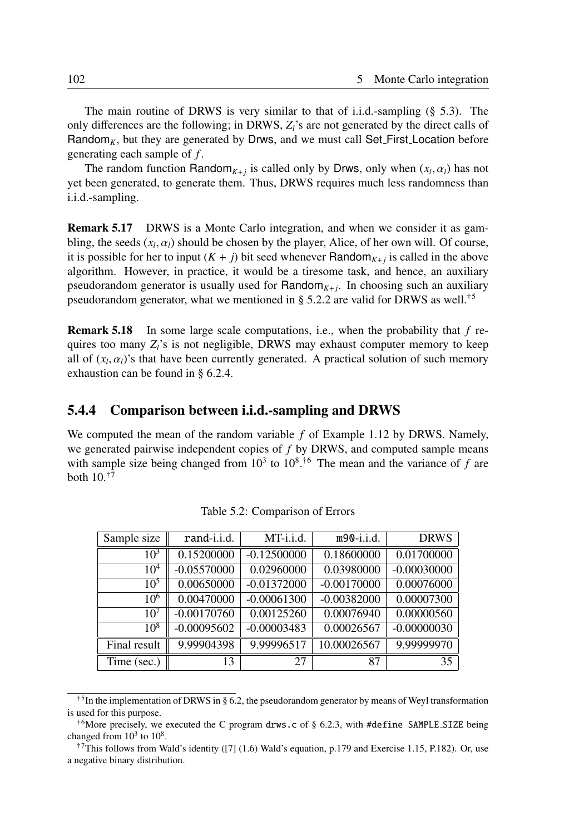The main routine of DRWS is very similar to that of i.i.d.-sampling  $(\S$  5.3). The only differences are the following; in DRWS,  $Z_i$ 's are not generated by the direct calls of Random<sub>K</sub>, but they are generated by Drws, and we must call Set\_First\_Location before generating each sample of *f* .

The random function Random<sub>*K*+*j*</sub> is called only by Drws, only when  $(x_l, \alpha_l)$  has not yet been generated, to generate them. Thus, DRWS requires much less randomness than i.i.d.-sampling.

Remark 5.17 DRWS is a Monte Carlo integration, and when we consider it as gambling, the seeds  $(x_l, \alpha_l)$  should be chosen by the player, Alice, of her own will. Of course, it is possible for her to input  $(K + j)$  bit seed whenever Random<sub>K+j</sub> is called in the above algorithm. However, in practice, it would be a tiresome task, and hence, an auxiliary pseudorandom generator is usually used for  $Random_{K+j}$ . In choosing such an auxiliary pseudorandom generator, what we mentioned in § 5.2.2 are valid for DRWS as well.<sup>†5</sup>

Remark 5.18 In some large scale computations, i.e., when the probability that *f* requires too many *Zl*'s is not negligible, DRWS may exhaust computer memory to keep all of  $(x_l, \alpha_l)$ 's that have been currently generated. A practical solution of such memory exhaustion can be found in § 6.2.4.

### 5.4.4 Comparison between i.i.d.-sampling and DRWS

We computed the mean of the random variable *f* of Example 1.12 by DRWS. Namely, we generated pairwise independent copies of *f* by DRWS, and computed sample means with sample size being changed from  $10^3$  to  $10^8$ .<sup>†6</sup> The mean and the variance of *f* are both  $10^{17}$ 

| Sample size     | rand-i.i.d.   | MT-i.i.d.     | $m90-i.i.d.$  | <b>DRWS</b>   |
|-----------------|---------------|---------------|---------------|---------------|
| $10^{3}$        | 0.15200000    | $-0.12500000$ | 0.18600000    | 0.01700000    |
| $10^{4}$        | $-0.05570000$ | 0.02960000    | 0.03980000    | $-0.00030000$ |
| $10^{5}$        | 0.00650000    | $-0.01372000$ | $-0.00170000$ | 0.00076000    |
| $10^{6}$        | 0.00470000    | $-0.00061300$ | $-0.00382000$ | 0.00007300    |
| 10 <sup>7</sup> | $-0.00170760$ | 0.00125260    | 0.00076940    | 0.00000560    |
| 10 <sup>8</sup> | $-0.00095602$ | $-0.00003483$ | 0.00026567    | $-0.00000030$ |
| Final result    | 9.99904398    | 9.99996517    | 10.00026567   | 9.99999970    |
| Time (sec.)     | 13            | 27            | 87            | 35            |

Table 5.2: Comparison of Errors

<sup>&</sup>lt;sup>†5</sup>In the implementation of DRWS in § 6.2, the pseudorandom generator by means of Weyl transformation is used for this purpose.

<sup>&</sup>lt;sup>†6</sup>More precisely, we executed the C program drws.c of § 6.2.3, with #define SAMPLE\_SIZE being changed from  $10^3$  to  $10^8$ .

<sup>&</sup>lt;sup>†7</sup>This follows from Wald's identity ([7] (1.6) Wald's equation, p.179 and Exercise 1.15, P.182). Or, use a negative binary distribution.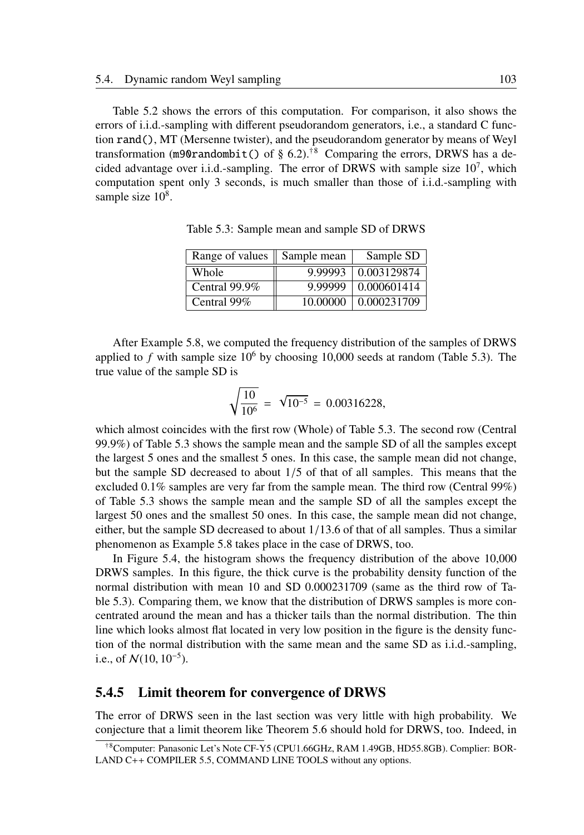Table 5.2 shows the errors of this computation. For comparison, it also shows the errors of i.i.d.-sampling with different pseudorandom generators, i.e., a standard C function rand(), MT (Mersenne twister), and the pseudorandom generator by means of Weyl transformation (m90randombit() of § 6.2).<sup>†8</sup> Comparing the errors, DRWS has a decided advantage over i.i.d.-sampling. The error of DRWS with sample size  $10<sup>7</sup>$ , which computation spent only 3 seconds, is much smaller than those of i.i.d.-sampling with sample size  $10^8$ .

| Range of values    Sample mean |          | Sample SD   |
|--------------------------------|----------|-------------|
| Whole                          | 9.99993  | 0.003129874 |
| Central $99.9\%$               | 9.99999  | 0.000601414 |
| Central 99%                    | 10.00000 | 0.000231709 |

Table 5.3: Sample mean and sample SD of DRWS

After Example 5.8, we computed the frequency distribution of the samples of DRWS applied to  $f$  with sample size  $10^6$  by choosing 10,000 seeds at random (Table 5.3). The true value of the sample SD is

$$
\sqrt{\frac{10}{10^6}} = \sqrt{10^{-5}} = 0.00316228,
$$

which almost coincides with the first row (Whole) of Table 5.3. The second row (Central 99.9%) of Table 5.3 shows the sample mean and the sample SD of all the samples except the largest 5 ones and the smallest 5 ones. In this case, the sample mean did not change, but the sample SD decreased to about 1/5 of that of all samples. This means that the excluded 0.1% samples are very far from the sample mean. The third row (Central 99%) of Table 5.3 shows the sample mean and the sample SD of all the samples except the largest 50 ones and the smallest 50 ones. In this case, the sample mean did not change, either, but the sample SD decreased to about 1/13.6 of that of all samples. Thus a similar phenomenon as Example 5.8 takes place in the case of DRWS, too.

In Figure 5.4, the histogram shows the frequency distribution of the above 10,000 DRWS samples. In this figure, the thick curve is the probability density function of the normal distribution with mean 10 and SD 0.000231709 (same as the third row of Table 5.3). Comparing them, we know that the distribution of DRWS samples is more concentrated around the mean and has a thicker tails than the normal distribution. The thin line which looks almost flat located in very low position in the figure is the density function of the normal distribution with the same mean and the same SD as i.i.d.-sampling, i.e., of  $N(10, 10^{-5})$ .

## 5.4.5 Limit theorem for convergence of DRWS

The error of DRWS seen in the last section was very little with high probability. We conjecture that a limit theorem like Theorem 5.6 should hold for DRWS, too. Indeed, in

<sup>†</sup>8Computer: Panasonic Let's Note CF-Y5 (CPU1.66GHz, RAM 1.49GB, HD55.8GB). Complier: BOR-LAND C++ COMPILER 5.5, COMMAND LINE TOOLS without any options.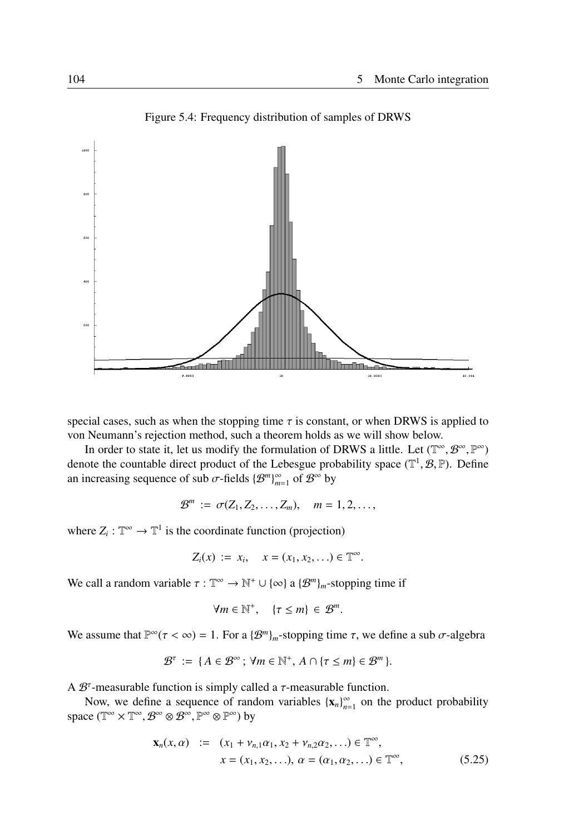

Figure 5.4: Frequency distribution of samples of DRWS

special cases, such as when the stopping time  $\tau$  is constant, or when DRWS is applied to von Neumann's rejection method, such a theorem holds as we will show below.

In order to state it, let us modify the formulation of DRWS a little. Let  $(\mathbb{T}^\infty, \mathcal{B}^\infty, \mathbb{P}^\infty)$ denote the countable direct product of the Lebesgue probability space  $(\mathbb{T}^1, \mathcal{B}, \mathbb{P})$ . Define an increasing sequence of sub  $\sigma$ -fields  $\{\mathcal{B}^m\}_{m=1}^\infty$  of  $\mathcal{B}^\infty$  by

$$
\mathcal{B}^m := \sigma(Z_1, Z_2, \ldots, Z_m), \quad m = 1, 2, \ldots,
$$

where  $Z_i : \mathbb{T}^\infty \to \mathbb{T}^1$  is the coordinate function (projection)

$$
Z_i(x) := x_i, \quad x = (x_1, x_2, \ldots) \in \mathbb{T}^{\infty}.
$$

We call a random variable  $\tau : \mathbb{T}^{\infty} \to \mathbb{N}^+ \cup \{\infty\}$  a  $\{\mathcal{B}^m\}_m$ -stopping time if

$$
\forall m \in \mathbb{N}^+, \quad \{\tau \leq m\} \in \mathcal{B}^m.
$$

We assume that  $\mathbb{P}^{\infty}(\tau < \infty) = 1$ . For a  $\{\mathcal{B}^m\}_m$ -stopping time  $\tau$ , we define a sub  $\sigma$ -algebra

$$
\mathcal{B}^{\tau} := \{ A \in \mathcal{B}^{\infty} ; \forall m \in \mathbb{N}^+, A \cap \{ \tau \leq m \} \in \mathcal{B}^{m} \}.
$$

A  $\mathcal{B}^{\tau}$ -measurable function is simply called a  $\tau$ -measurable function.

Now, we define a sequence of random variables  $\{x_n\}_{n=1}^{\infty}$  on the product probability space  $(\mathbb{T}^\infty\times \mathbb{T}^\infty, \mathcal{B}^\infty\otimes \mathcal{B}^\infty, \mathbb{P}^\infty\otimes \mathbb{P}^\infty)$  by

$$
\mathbf{x}_n(x, \alpha) := (x_1 + v_{n,1}\alpha_1, x_2 + v_{n,2}\alpha_2, \dots) \in \mathbb{T}^{\infty},
$$
  
\n
$$
x = (x_1, x_2, \dots), \alpha = (\alpha_1, \alpha_2, \dots) \in \mathbb{T}^{\infty},
$$
 (5.25)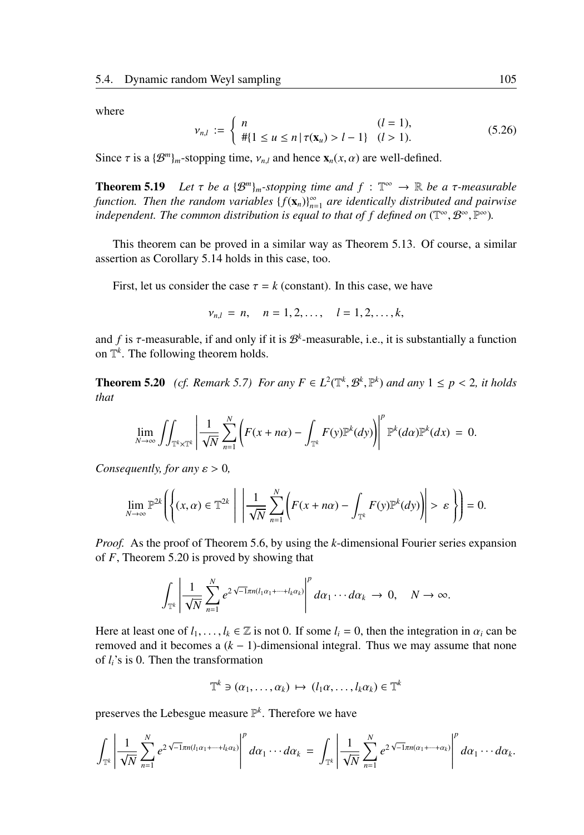where

$$
\nu_{n,l} := \begin{cases} n & (l = 1), \\ \# \{ 1 \le u \le n \mid \tau(\mathbf{x}_u) > l - 1 \} & (l > 1). \end{cases} \tag{5.26}
$$

Since  $\tau$  is a  $\{\mathcal{B}^m\}_m$ -stopping time,  $v_{n,l}$  and hence  $\mathbf{x}_n(x, \alpha)$  are well-defined.

**Theorem 5.19** Let  $\tau$  be a  $\{\mathcal{B}^m\}_m$ -stopping time and  $f : \mathbb{T}^\infty \to \mathbb{R}$  be a  $\tau$ -measurable *function. Then the random variables*  $\{f(\mathbf{x}_n)\}_{n=1}^{\infty}$  are identically distributed and pairwise independent. The common distribution is equal to that of f defined on  $(\mathbb{T}^\infty, \mathcal{B}^\infty, \mathbb{P}^\infty)$ .

This theorem can be proved in a similar way as Theorem 5.13. Of course, a similar assertion as Corollary 5.14 holds in this case, too.

First, let us consider the case  $\tau = k$  (constant). In this case, we have

$$
v_{n,l} = n, \quad n = 1, 2, \ldots, \quad l = 1, 2, \ldots, k,
$$

and  $f$  is  $\tau$ -measurable, if and only if it is  $\mathcal{B}^k$ -measurable, i.e., it is substantially a function on  $\mathbb{T}^k$ . The following theorem holds.

**Theorem 5.20** *(cf. Remark 5.7) For any*  $F \in L^2(\mathbb{T}^k, \mathcal{B}^k, \mathbb{P}^k)$  *and any*  $1 \leq p < 2$ *, it holds that*

$$
\lim_{N\to\infty}\iint_{\mathbb{T}^k\times\mathbb{T}^k}\left|\frac{1}{\sqrt{N}}\sum_{n=1}^N\left(F(x+n\alpha)-\int_{\mathbb{T}^k}F(y)\mathbb{P}^k(dy)\right)\right|^p\mathbb{P}^k(d\alpha)\mathbb{P}^k(dx)=0.
$$

*Consequently, for any*  $\varepsilon > 0$ *,* 

$$
\lim_{N\to\infty}\mathbb{P}^{2k}\left(\left\{(x,\alpha)\in\mathbb{T}^{2k}\;\middle|\;\left|\frac{1}{\sqrt{N}}\sum_{n=1}^{N}\left(F(x+n\alpha)-\int_{\mathbb{T}^{k}}F(y)\mathbb{P}^{k}(dy)\right)\right|>\varepsilon\right\}\right)=0.
$$

*Proof.* As the proof of Theorem 5.6, by using the *k*-dimensional Fourier series expansion of *F*, Theorem 5.20 is proved by showing that

$$
\int_{\mathbb{T}^k} \left| \frac{1}{\sqrt{N}} \sum_{n=1}^N e^{2\sqrt{-1}\pi n (l_1 \alpha_1 + \cdots + l_k \alpha_k)} \right|^p d\alpha_1 \cdots d\alpha_k \to 0, \quad N \to \infty.
$$

Here at least one of  $l_1, \ldots, l_k \in \mathbb{Z}$  is not 0. If some  $l_i = 0$ , then the integration in  $\alpha_i$  can be removed and it becomes a  $(k - 1)$ -dimensional integral. Thus we may assume that none of *li*'s is 0. Then the transformation

$$
\mathbb{T}^k \ni (\alpha_1, \ldots, \alpha_k) \mapsto (l_1 \alpha, \ldots, l_k \alpha_k) \in \mathbb{T}^k
$$

preserves the Lebesgue measure P *k* . Therefore we have

$$
\int_{\mathbb{T}^k} \left| \frac{1}{\sqrt{N}} \sum_{n=1}^N e^{2\sqrt{-1}\pi n (l_1\alpha_1 + \cdots + l_k\alpha_k)} \right|^p d\alpha_1 \cdots d\alpha_k = \int_{\mathbb{T}^k} \left| \frac{1}{\sqrt{N}} \sum_{n=1}^N e^{2\sqrt{-1}\pi n (\alpha_1 + \cdots + \alpha_k)} \right|^p d\alpha_1 \cdots d\alpha_k.
$$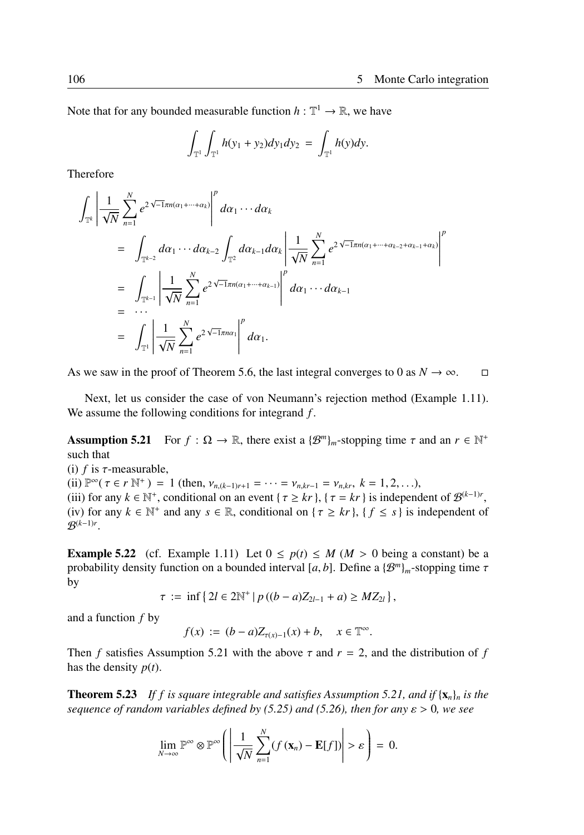Note that for any bounded measurable function  $h : \mathbb{T}^1 \to \mathbb{R}$ , we have

$$
\int_{\mathbb{T}^1} \int_{\mathbb{T}^1} h(y_1 + y_2) dy_1 dy_2 = \int_{\mathbb{T}^1} h(y) dy.
$$

Therefore

$$
\int_{\mathbb{T}^k} \left| \frac{1}{\sqrt{N}} \sum_{n=1}^N e^{2\sqrt{-1}\pi n (\alpha_1 + \dots + \alpha_k)} \right|^p d\alpha_1 \cdots d\alpha_k
$$
\n
$$
= \int_{\mathbb{T}^{k-2}} d\alpha_1 \cdots d\alpha_{k-2} \int_{\mathbb{T}^2} d\alpha_{k-1} d\alpha_k \left| \frac{1}{\sqrt{N}} \sum_{n=1}^N e^{2\sqrt{-1}\pi n (\alpha_1 + \dots + \alpha_{k-2} + \alpha_{k-1} + \alpha_k)} \right|^p
$$
\n
$$
= \int_{\mathbb{T}^{k-1}} \left| \frac{1}{\sqrt{N}} \sum_{n=1}^N e^{2\sqrt{-1}\pi n (\alpha_1 + \dots + \alpha_{k-1})} \right|^p d\alpha_1 \cdots d\alpha_{k-1}
$$
\n
$$
= \int_{\mathbb{T}^1} \left| \frac{1}{\sqrt{N}} \sum_{n=1}^N e^{2\sqrt{-1}\pi n \alpha_1} \right|^p d\alpha_1.
$$

As we saw in the proof of Theorem 5.6, the last integral converges to 0 as  $N \to \infty$ . □

Next, let us consider the case of von Neumann's rejection method (Example 1.11). We assume the following conditions for integrand *f* .

Assumption 5.21 For  $f : \Omega \to \mathbb{R}$ , there exist a  $\{\mathcal{B}^m\}_m$ -stopping time  $\tau$  and an  $r \in \mathbb{N}^+$ such that

(i)  $f$  is  $\tau$ -measurable, (ii)  $\mathbb{P}^{\infty}(\tau \in r \mathbb{N}^+) = 1$  (then,  $v_{n,(k-1)r+1} = \cdots = v_{n,kr-1} = v_{n,kr}, k = 1, 2, \ldots$ ), (iii) for any  $k \in \mathbb{N}^+$ , conditional on an event { $\tau \ge kr$ }, { $\tau = kr$ } is independent of  $\mathcal{B}^{(k-1)r}$ , (iv) for any  $k \in \mathbb{N}^+$  and any  $s \in \mathbb{R}$ , conditional on  $\{\tau \ge kr\}$ ,  $\{f \le s\}$  is independent of  $\mathcal{B}^{(k-1)r}$ .

**Example 5.22** (cf. Example 1.11) Let  $0 \leq p(t) \leq M (M > 0)$  being a constant) be a probability density function on a bounded interval [a, b]. Define a  $\{\mathcal{B}^m\}_m$ -stopping time  $\tau$ by

$$
\tau := \inf \{ 2l \in 2\mathbb{N}^+ \mid p((b-a)Z_{2l-1} + a) \ge MZ_{2l} \},\
$$

and a function *f* by

$$
f(x) := (b - a)Z_{\tau(x)-1}(x) + b, \quad x \in \mathbb{T}^{\infty}.
$$

Then *f* satisfies Assumption 5.21 with the above  $\tau$  and  $r = 2$ , and the distribution of *f* has the density *p*(*t*).

**Theorem 5.23** If f is square integrable and satisfies Assumption 5.21, and if  $\{x_n\}_n$  is the *sequence of random variables defined by (5.25) and (5.26), then for any* ε > 0*, we see*

$$
\lim_{N\to\infty}\mathbb{P}^{\infty}\otimes\mathbb{P}^{\infty}\left(\left|\frac{1}{\sqrt{N}}\sum_{n=1}^{N}(f(\mathbf{x}_{n})-\mathbf{E}[f])\right|>\varepsilon\right)=0.
$$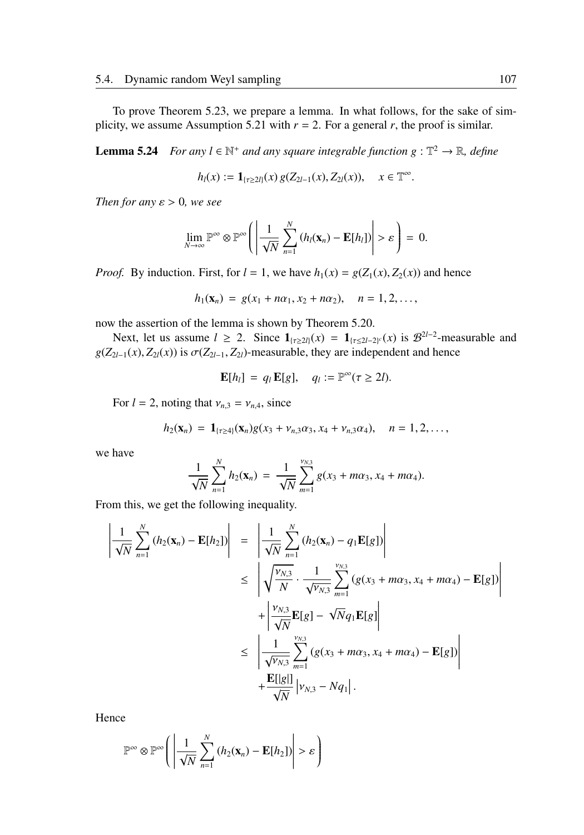To prove Theorem 5.23, we prepare a lemma. In what follows, for the sake of simplicity, we assume Assumption 5.21 with  $r = 2$ . For a general *r*, the proof is similar.

**Lemma 5.24** *For any*  $l \in \mathbb{N}^+$  *and any square integrable function*  $g : \mathbb{T}^2 \to \mathbb{R}$ *, define* 

$$
h_l(x) := \mathbf{1}_{\{\tau \geq 2l\}}(x) g(Z_{2l-1}(x), Z_{2l}(x)), \quad x \in \mathbb{T}^{\infty}.
$$

*Then for any*  $\varepsilon > 0$ *, we see* 

$$
\lim_{N\to\infty}\mathbb{P}^{\infty}\otimes\mathbb{P}^{\infty}\left(\left|\frac{1}{\sqrt{N}}\sum_{n=1}^{N}\left(h_{i}(\mathbf{x}_{n})-\mathbf{E}[h_{i}]\right)\right|>\varepsilon\right)=0.
$$

*Proof.* By induction. First, for  $l = 1$ , we have  $h_1(x) = g(Z_1(x), Z_2(x))$  and hence

$$
h_1(\mathbf{x}_n) = g(x_1 + n\alpha_1, x_2 + n\alpha_2), \quad n = 1, 2, \dots,
$$

now the assertion of the lemma is shown by Theorem 5.20.

Next, let us assume  $l \ge 2$ . Since  $\mathbf{1}_{\{\tau \ge 2l\}}(x) = \mathbf{1}_{\{\tau \le 2l-2\}^c}(x)$  is  $\mathcal{B}^{2l-2}$ -measurable and  $g(Z_{2l-1}(x), Z_{2l}(x))$  is  $\sigma(Z_{2l-1}, Z_{2l})$ -measurable, they are independent and hence

$$
\mathbf{E}[h_l] = q_l \mathbf{E}[g], \quad q_l := \mathbb{P}^{\infty}(\tau \geq 2l).
$$

For  $l = 2$ , noting that  $v_{n,3} = v_{n,4}$ , since

$$
h_2(\mathbf{x}_n) = \mathbf{1}_{\{\tau \geq 4\}}(\mathbf{x}_n) g(x_3 + \nu_{n,3}\alpha_3, x_4 + \nu_{n,3}\alpha_4), \quad n = 1, 2, \ldots,
$$

we have

$$
\frac{1}{\sqrt{N}}\sum_{n=1}^N h_2(\mathbf{x}_n) = \frac{1}{\sqrt{N}}\sum_{m=1}^{\nu_{N,3}} g(x_3 + m\alpha_3, x_4 + m\alpha_4).
$$

From this, we get the following inequality.

$$
\left| \frac{1}{\sqrt{N}} \sum_{n=1}^{N} (h_2(\mathbf{x}_n) - \mathbf{E}[h_2]) \right| = \left| \frac{1}{\sqrt{N}} \sum_{n=1}^{N} (h_2(\mathbf{x}_n) - q_1 \mathbf{E}[g]) \right|
$$
  
\n
$$
\leq \left| \sqrt{\frac{v_{N,3}}{N}} \cdot \frac{1}{\sqrt{v_{N,3}}} \sum_{m=1}^{v_{N,3}} (g(x_3 + m\alpha_3, x_4 + m\alpha_4) - \mathbf{E}[g]) \right|
$$
  
\n
$$
+ \left| \frac{v_{N,3}}{\sqrt{N}} \mathbf{E}[g] - \sqrt{N} q_1 \mathbf{E}[g] \right|
$$
  
\n
$$
\leq \left| \frac{1}{\sqrt{v_{N,3}}} \sum_{m=1}^{v_{N,3}} (g(x_3 + m\alpha_3, x_4 + m\alpha_4) - \mathbf{E}[g]) \right|
$$
  
\n
$$
+ \frac{\mathbf{E}[|g|]}{\sqrt{N}} \left| v_{N,3} - Nq_1 \right|.
$$

Hence

$$
\mathbb{P}^{\infty} \otimes \mathbb{P}^{\infty}\left(\left|\frac{1}{\sqrt{N}}\sum_{n=1}^{N}\left(h_2(\mathbf{x}_n)-\mathbf{E}[h_2]\right)\right|>\varepsilon\right)
$$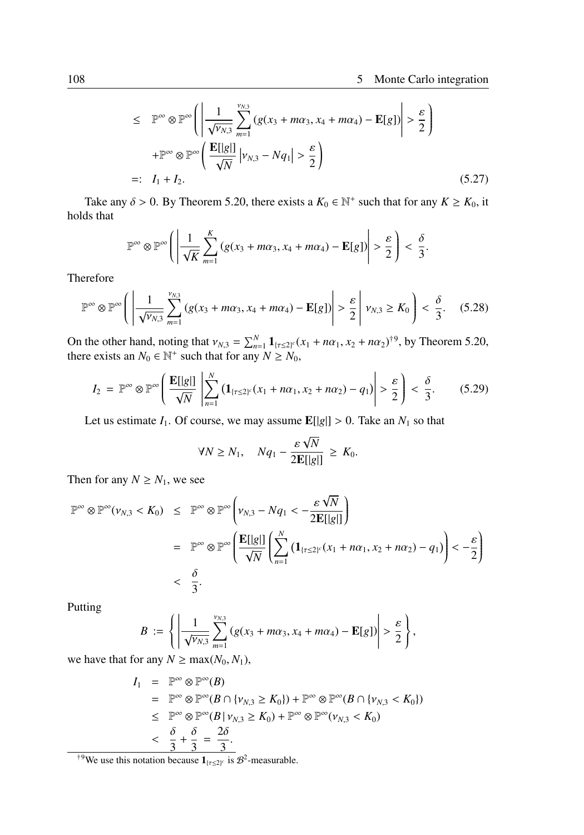$$
\leq \mathbb{P}^{\infty} \otimes \mathbb{P}^{\infty} \left( \left| \frac{1}{\sqrt{\nu_{N,3}}} \sum_{m=1}^{\nu_{N,3}} \left( g(x_3 + m\alpha_3, x_4 + m\alpha_4) - \mathbf{E}[g] \right) \right| > \frac{\varepsilon}{2} \right)
$$
  
+ 
$$
\mathbb{P}^{\infty} \otimes \mathbb{P}^{\infty} \left( \frac{\mathbf{E}[|g|]}{\sqrt{N}} \left| \nu_{N,3} - Nq_1 \right| > \frac{\varepsilon}{2} \right)
$$
  
=:  $I_1 + I_2.$  (5.27)

Take any  $\delta > 0$ . By Theorem 5.20, there exists a  $K_0 \in \mathbb{N}^+$  such that for any  $K \geq K_0$ , it holds that

$$
\mathbb{P}^{\infty} \otimes \mathbb{P}^{\infty}\left(\left|\frac{1}{\sqrt{K}}\sum_{m=1}^{K}\left(g(x_{3}+m\alpha_{3},x_{4}+m\alpha_{4})-\mathbf{E}[g]\right)\right|>\frac{\varepsilon}{2}\right)<\frac{\delta}{3}.
$$

Therefore

$$
\mathbb{P}^{\infty} \otimes \mathbb{P}^{\infty} \Bigg( \left| \frac{1}{\sqrt{\nu_{N,3}}} \sum_{m=1}^{\nu_{N,3}} \left( g(x_3 + m\alpha_3, x_4 + m\alpha_4) - \mathbf{E}[g] \right) \right| > \frac{\varepsilon}{2} \left| \nu_{N,3} \ge K_0 \right| < \frac{\delta}{3}. \tag{5.28}
$$

On the other hand, noting that  $v_{N,3} = \sum_{n=1}^{N} 1_{\{\tau \le 2\}^c} (x_1 + n\alpha_1, x_2 + n\alpha_2)^{\dagger 9}$ , by Theorem 5.20, there exists an  $N_0 \in \mathbb{N}^+$  such that for any  $N \ge N_0$ ,

$$
I_2 = \mathbb{P}^{\infty} \otimes \mathbb{P}^{\infty} \left( \frac{\mathbf{E}[|g|]}{\sqrt{N}} \left| \sum_{n=1}^{N} \left( \mathbf{1}_{\{\tau \leq 2\}^c} (x_1 + n\alpha_1, x_2 + n\alpha_2) - q_1 \right) \right| > \frac{\varepsilon}{2} \right) < \frac{\delta}{3}.
$$
 (5.29)

Let us estimate  $I_1$ . Of course, we may assume  $\mathbb{E}[|g|] > 0$ . Take an  $N_1$  so that

$$
\forall N \ge N_1, \quad Nq_1 - \frac{\varepsilon \sqrt{N}}{2\mathbf{E}[\lvert g \rvert]} \ge K_0.
$$

Then for any  $N \geq N_1$ , we see

$$
\mathbb{P}^{\infty} \otimes \mathbb{P}^{\infty}(\nu_{N,3} < K_0) \leq \mathbb{P}^{\infty} \otimes \mathbb{P}^{\infty} \left( \nu_{N,3} - Nq_1 < -\frac{\varepsilon \sqrt{N}}{2 \mathbf{E}[\|g\|]} \right)
$$
\n
$$
= \mathbb{P}^{\infty} \otimes \mathbb{P}^{\infty} \left( \frac{\mathbf{E}[\|g\|]}{\sqrt{N}} \left( \sum_{n=1}^{N} \left( \mathbf{1}_{\{\tau \leq 2\}^c} (x_1 + n\alpha_1, x_2 + n\alpha_2) - q_1 \right) \right) < -\frac{\varepsilon}{2} \right)
$$
\n
$$
< \frac{\delta}{3}.
$$

Putting

$$
B := \left\{ \left| \frac{1}{\sqrt{\nu_{N,3}}} \sum_{m=1}^{\nu_{N,3}} \left( g(x_3 + m\alpha_3, x_4 + m\alpha_4) - \mathbf{E}[g] \right) \right| > \frac{\varepsilon}{2} \right\},\,
$$

we have that for any  $N \ge \max(N_0, N_1)$ ,

$$
I_1 = \mathbb{P}^{\infty} \otimes \mathbb{P}^{\infty}(B)
$$
  
\n
$$
= \mathbb{P}^{\infty} \otimes \mathbb{P}^{\infty}(B \cap \{v_{N,3} \ge K_0\}) + \mathbb{P}^{\infty} \otimes \mathbb{P}^{\infty}(B \cap \{v_{N,3} < K_0\})
$$
  
\n
$$
\leq \mathbb{P}^{\infty} \otimes \mathbb{P}^{\infty}(B \mid v_{N,3} \ge K_0) + \mathbb{P}^{\infty} \otimes \mathbb{P}^{\infty}(v_{N,3} < K_0)
$$
  
\n
$$
< \frac{\delta}{3} + \frac{\delta}{3} = \frac{2\delta}{3}.
$$

<sup>†9</sup>We use this notation because  $\mathbf{1}_{\{\tau \leq 2\}^c}$  is  $\mathcal{B}^2$ -measurable.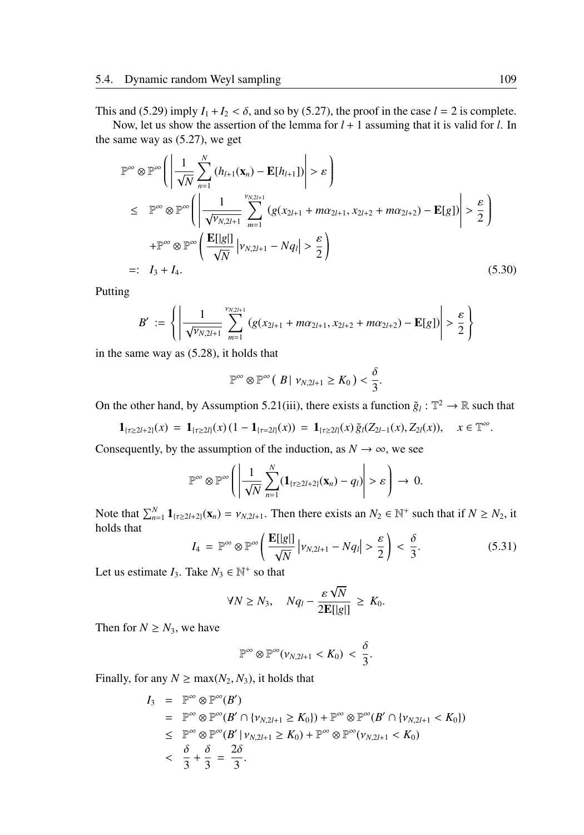This and (5.29) imply  $I_1 + I_2 < \delta$ , and so by (5.27), the proof in the case  $l = 2$  is complete.

Now, let us show the assertion of the lemma for  $l + 1$  assuming that it is valid for *l*. In the same way as (5.27), we get

$$
\mathbb{P}^{\infty} \otimes \mathbb{P}^{\infty} \left( \left| \frac{1}{\sqrt{N}} \sum_{n=1}^{N} \left( h_{l+1}(\mathbf{x}_{n}) - \mathbf{E}[h_{l+1}] \right) \right| > \varepsilon \right)
$$
\n
$$
\leq \mathbb{P}^{\infty} \otimes \mathbb{P}^{\infty} \left( \left| \frac{1}{\sqrt{V_{N,2l+1}}} \sum_{m=1}^{V_{N,2l+1}} \left( g(x_{2l+1} + m\alpha_{2l+1}, x_{2l+2} + m\alpha_{2l+2}) - \mathbf{E}[g] \right) \right| > \frac{\varepsilon}{2} \right)
$$
\n
$$
+ \mathbb{P}^{\infty} \otimes \mathbb{P}^{\infty} \left( \frac{\mathbf{E}[|g|]}{\sqrt{N}} \left| v_{N,2l+1} - Nq_{l} \right| > \frac{\varepsilon}{2} \right)
$$
\n
$$
=: I_{3} + I_{4}. \tag{5.30}
$$

Putting

$$
B' := \left\{ \left| \frac{1}{\sqrt{v_{N,2l+1}}} \sum_{m=1}^{v_{N,2l+1}} (g(x_{2l+1} + m\alpha_{2l+1}, x_{2l+2} + m\alpha_{2l+2}) - \mathbf{E}[g]) \right| > \frac{\varepsilon}{2} \right\}
$$

in the same way as (5.28), it holds that

$$
\mathbb{P}^{\infty} \otimes \mathbb{P}^{\infty} ( |B| \nu_{N,2l+1} \geq K_0 ) < \frac{\delta}{3}.
$$

On the other hand, by Assumption 5.21(iii), there exists a function  $\tilde{g}_l : \mathbb{T}^2 \to \mathbb{R}$  such that

$$
\mathbf{1}_{\{\tau \geq 2l+2\}}(x) = \mathbf{1}_{\{\tau \geq 2l\}}(x) \left(1 - \mathbf{1}_{\{\tau = 2l\}}(x)\right) = \mathbf{1}_{\{\tau \geq 2l\}}(x) \, \tilde{g}_l(Z_{2l-1}(x), Z_{2l}(x)), \quad x \in \mathbb{T}^{\infty}.
$$

Consequently, by the assumption of the induction, as  $N \to \infty$ , we see

$$
\mathbb{P}^{\infty} \otimes \mathbb{P}^{\infty}\left(\left|\frac{1}{\sqrt{N}}\sum_{n=1}^{N}(\mathbf{1}_{\{\tau \geq 2l+2\}}(\mathbf{x}_n)-q_l)\right| > \varepsilon\right) \to 0.
$$

Note that  $\sum_{n=1}^{N} \mathbf{1}_{\{\tau \ge 2l+2\}}(\mathbf{x}_n) = \nu_{N,2l+1}$ . Then there exists an  $N_2 \in \mathbb{N}^+$  such that if  $N \ge N_2$ , it holds that

$$
I_4 = \mathbb{P}^{\infty} \otimes \mathbb{P}^{\infty} \left( \frac{\mathbf{E}[g]}{\sqrt{N}} \left| \nu_{N,2l+1} - Nq_l \right| > \frac{\varepsilon}{2} \right) < \frac{\delta}{3}.
$$
 (5.31)

Let us estimate  $I_3$ . Take  $N_3 \in \mathbb{N}^+$  so that

$$
\forall N \ge N_3, \quad Nq_l - \frac{\varepsilon \sqrt{N}}{2\mathbf{E}[\lvert g \rvert]} \ge K_0.
$$

Then for  $N \geq N_3$ , we have

$$
\mathbb{P}^{\infty}\otimes\mathbb{P}^{\infty}(\nu_{N,2l+1}
$$

Finally, for any  $N \ge \max(N_2, N_3)$ , it holds that

$$
I_3 = \mathbb{P}^{\infty} \otimes \mathbb{P}^{\infty}(B')
$$
  
\n
$$
= \mathbb{P}^{\infty} \otimes \mathbb{P}^{\infty}(B' \cap \{v_{N,2l+1} \ge K_0\}) + \mathbb{P}^{\infty} \otimes \mathbb{P}^{\infty}(B' \cap \{v_{N,2l+1} < K_0\})
$$
  
\n
$$
\leq \mathbb{P}^{\infty} \otimes \mathbb{P}^{\infty}(B' | v_{N,2l+1} \ge K_0) + \mathbb{P}^{\infty} \otimes \mathbb{P}^{\infty}(v_{N,2l+1} < K_0)
$$
  
\n
$$
< \frac{\delta}{3} + \frac{\delta}{3} = \frac{2\delta}{3}.
$$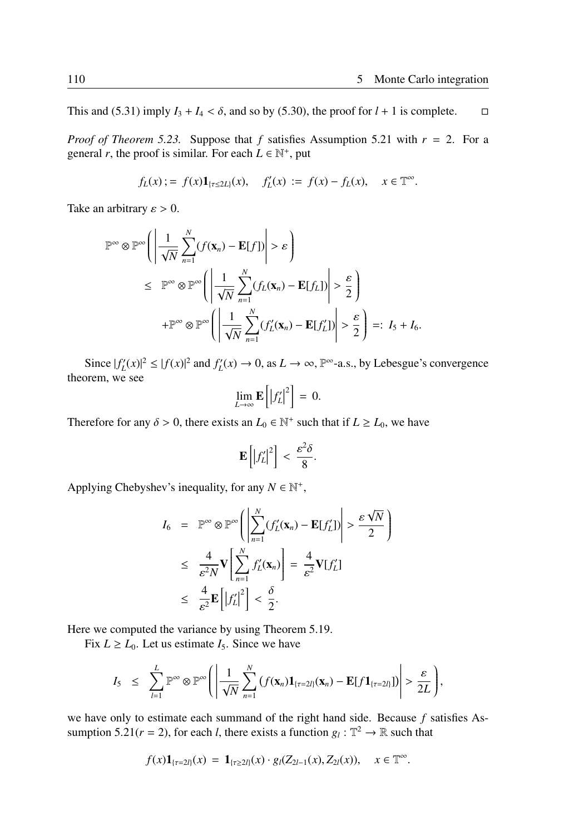This and (5.31) imply  $I_3 + I_4 < \delta$ , and so by (5.30), the proof for  $l + 1$  is complete.  $\Box$ 

*Proof of Theorem 5.23.* Suppose that  $f$  satisfies Assumption 5.21 with  $r = 2$ . For a general *r*, the proof is similar. For each  $L \in \mathbb{N}^+$ , put

$$
f_L(x) := f(x)1_{[\tau \le 2L]}(x), \quad f'_L(x) := f(x) - f_L(x), \quad x \in \mathbb{T}^{\infty}.
$$

Take an arbitrary  $\varepsilon > 0$ .

$$
\mathbb{P}^{\infty} \otimes \mathbb{P}^{\infty} \Bigg( \Bigg| \frac{1}{\sqrt{N}} \sum_{n=1}^{N} (f(\mathbf{x}_{n}) - \mathbf{E}[f]) \Bigg| > \varepsilon \Bigg) \leq \mathbb{P}^{\infty} \otimes \mathbb{P}^{\infty} \Bigg( \Bigg| \frac{1}{\sqrt{N}} \sum_{n=1}^{N} (f_{L}(\mathbf{x}_{n}) - \mathbf{E}[f_{L}]) \Bigg| > \frac{\varepsilon}{2} \Bigg) + \mathbb{P}^{\infty} \otimes \mathbb{P}^{\infty} \Bigg( \Bigg| \frac{1}{\sqrt{N}} \sum_{n=1}^{N} (f_{L}'(\mathbf{x}_{n}) - \mathbf{E}[f_{L}']) \Bigg| > \frac{\varepsilon}{2} \Bigg) =: I_{5} + I_{6}.
$$

Since  $|f'_L(x)|^2 \le |f(x)|^2$  and  $f'_L(x) \to 0$ , as  $L \to \infty$ ,  $\mathbb{P}^{\infty}$ -a.s., by Lebesgue's convergence theorem, we see

$$
\lim_{L\to\infty}\mathbf{E}\left[\left|f'_L\right|^2\right]=0.
$$

Therefore for any  $\delta > 0$ , there exists an  $L_0 \in \mathbb{N}^+$  such that if  $L \ge L_0$ , we have

$$
\mathbf{E}\left[\left|f_L'\right|^2\right] < \frac{\varepsilon^2 \delta}{8}.
$$

Applying Chebyshev's inequality, for any  $N \in \mathbb{N}^+$ ,

$$
I_6 = \mathbb{P}^{\infty} \otimes \mathbb{P}^{\infty} \Bigg( \Bigg| \sum_{n=1}^{N} (f'_L(\mathbf{x}_n) - \mathbf{E}[f'_L]) \Bigg| > \frac{\varepsilon \sqrt{N}}{2} \Bigg)
$$
  
\n
$$
\leq \frac{4}{\varepsilon^2 N} \mathbf{V} \Bigg[ \sum_{n=1}^{N} f'_L(\mathbf{x}_n) \Bigg] = \frac{4}{\varepsilon^2} \mathbf{V}[f'_L]
$$
  
\n
$$
\leq \frac{4}{\varepsilon^2} \mathbf{E} \Bigg[ |f'_L|^2 \Bigg] < \frac{\delta}{2}.
$$

Here we computed the variance by using Theorem 5.19.

Fix  $L \ge L_0$ . Let us estimate  $I_5$ . Since we have

$$
I_5 \leq \sum_{l=1}^L \mathbb{P}^\infty \otimes \mathbb{P}^\infty \Bigg( \Bigg| \frac{1}{\sqrt{N}} \sum_{n=1}^N \big( f(\mathbf{x}_n) \mathbf{1}_{\{\tau=2l\}}(\mathbf{x}_n) - \mathbf{E}[f \mathbf{1}_{\{\tau=2l\}}] \big) \Bigg| > \frac{\varepsilon}{2L} \Bigg),
$$

we have only to estimate each summand of the right hand side. Because *f* satisfies Assumption 5.21( $r = 2$ ), for each *l*, there exists a function  $g_l : \mathbb{T}^2 \to \mathbb{R}$  such that

$$
f(x)1_{\{\tau=2l\}}(x) = 1_{\{\tau \geq 2l\}}(x) \cdot g_l(Z_{2l-1}(x), Z_{2l}(x)), \quad x \in \mathbb{T}^{\infty}.
$$